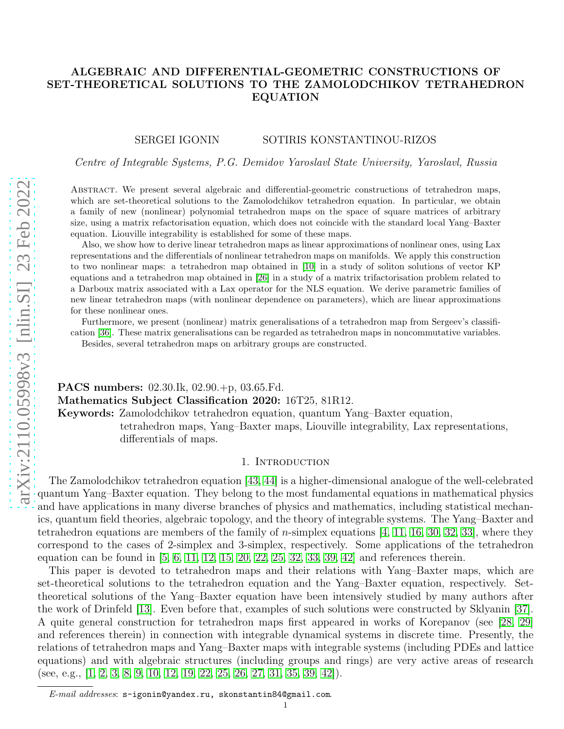# ALGEBRAIC AND DIFFERENTIAL-GEOMETRIC CONSTRUCTIONS OF SET-THEORETICAL SOLUTIONS TO THE ZAMOLODCHIKOV TETRAHEDRON EQUATION

SERGEI IGONIN SOTIRIS KONSTANTINOU-RIZOS

Centre of Integrable Systems, P.G. Demidov Yaroslavl State University, Yaroslavl, Russia

Abstract. We present several algebraic and differential-geometric constructions of tetrahedron maps, which are set-theoretical solutions to the Zamolodchikov tetrahedron equation. In particular, we obtain a family of new (nonlinear) polynomial tetrahedron maps on the space of square matrices of arbitrary size, using a matrix refactorisation equation, which does not coincide with the standard local Yang–Baxter equation. Liouville integrability is established for some of these maps.

Also, we show how to derive linear tetrahedron maps as linear approximations of nonlinear ones, using Lax representations and the differentials of nonlinear tetrahedron maps on manifolds. We apply this construction to two nonlinear maps: a tetrahedron map obtained in [\[10\]](#page-19-0) in a study of soliton solutions of vector KP equations and a tetrahedron map obtained in [\[26\]](#page-19-1) in a study of a matrix trifactorisation problem related to a Darboux matrix associated with a Lax operator for the NLS equation. We derive parametric families of new linear tetrahedron maps (with nonlinear dependence on parameters), which are linear approximations for these nonlinear ones.

Furthermore, we present (nonlinear) matrix generalisations of a tetrahedron map from Sergeev's classification [\[36\]](#page-20-0). These matrix generalisations can be regarded as tetrahedron maps in noncommutative variables.

Besides, several tetrahedron maps on arbitrary groups are constructed.

PACS numbers: 02.30.Ik, 02.90.+p, 03.65.Fd. Mathematics Subject Classification 2020: 16T25, 81R12. Keywords: Zamolodchikov tetrahedron equation, quantum Yang–Baxter equation, tetrahedron maps, Yang–Baxter maps, Liouville integrability, Lax representations, differentials of maps.

#### 1. INTRODUCTION

<span id="page-0-0"></span>The Zamolodchikov tetrahedron equation [\[43,](#page-20-1) [44\]](#page-20-2) is a higher-dimensional analogue of the well-celebrated quantum Yang–Baxter equation. They belong to the most fundamental equations in mathematical physics and have applications in many diverse branches of physics and mathematics, including statistical mechanics, quantum field theories, algebraic topology, and the theory of integrable systems. The Yang–Baxter and tetrahedron equations are members of the family of *n*-simplex equations [\[4,](#page-19-2) [11,](#page-19-3) [16,](#page-19-4) [30,](#page-20-3) [32,](#page-20-4) [33\]](#page-20-5), where they correspond to the cases of 2-simplex and 3-simplex, respectively. Some applications of the tetrahedron equation can be found in [\[5,](#page-19-5) [6,](#page-19-6) [11,](#page-19-3) [12,](#page-19-7) [15,](#page-19-8) [20,](#page-19-9) [22,](#page-19-10) [25,](#page-19-11) [32,](#page-20-4) [33,](#page-20-5) [39,](#page-20-6) [42\]](#page-20-7) and references therein.

This paper is devoted to tetrahedron maps and their relations with Yang–Baxter maps, which are set-theoretical solutions to the tetrahedron equation and the Yang–Baxter equation, respectively. Settheoretical solutions of the Yang–Baxter equation have been intensively studied by many authors after the work of Drinfeld [\[13\]](#page-19-12). Even before that, examples of such solutions were constructed by Sklyanin [\[37\]](#page-20-8). A quite general construction for tetrahedron maps first appeared in works of Korepanov (see [\[28,](#page-19-13) [29\]](#page-19-14) and references therein) in connection with integrable dynamical systems in discrete time. Presently, the relations of tetrahedron maps and Yang–Baxter maps with integrable systems (including PDEs and lattice equations) and with algebraic structures (including groups and rings) are very active areas of research (see, e.g., [\[1,](#page-19-15) [2,](#page-19-16) [3,](#page-19-17) [8,](#page-19-18) [9,](#page-19-19) [10,](#page-19-0) [12,](#page-19-7) [19,](#page-19-20) [22,](#page-19-10) [25,](#page-19-11) [26,](#page-19-1) [27,](#page-19-21) [31,](#page-20-9) [35,](#page-20-10) [39,](#page-20-6) [42\]](#page-20-7)).

*E-mail addresses*: s-igonin@yandex.ru, skonstantin84@gmail.com.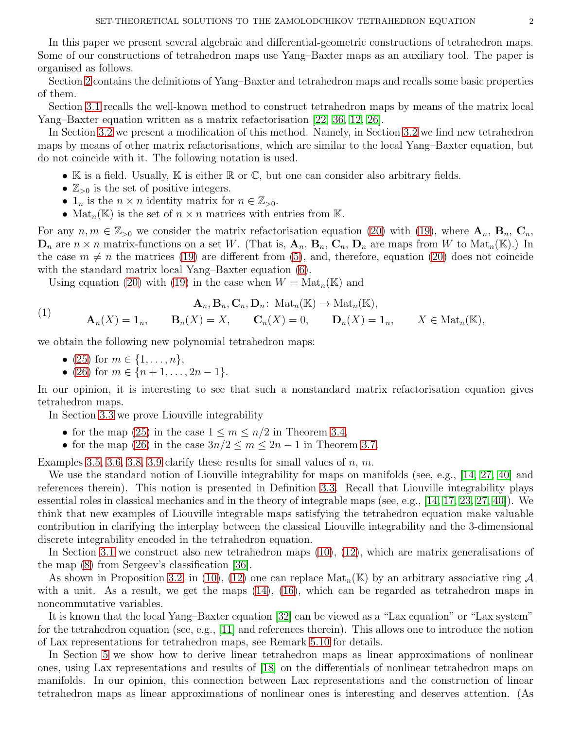In this paper we present several algebraic and differential-geometric constructions of tetrahedron maps. Some of our constructions of tetrahedron maps use Yang–Baxter maps as an auxiliary tool. The paper is organised as follows.

Section [2](#page-2-0) contains the definitions of Yang–Baxter and tetrahedron maps and recalls some basic properties of them.

Section [3.1](#page-3-0) recalls the well-known method to construct tetrahedron maps by means of the matrix local Yang–Baxter equation written as a matrix refactorisation [\[22,](#page-19-10) [36,](#page-20-0) [12,](#page-19-7) [26\]](#page-19-1).

In Section [3.2](#page-5-0) we present a modification of this method. Namely, in Section [3.2](#page-5-0) we find new tetrahedron maps by means of other matrix refactorisations, which are similar to the local Yang–Baxter equation, but do not coincide with it. The following notation is used.

- K is a field. Usually, K is either  $\mathbb R$  or  $\mathbb C$ , but one can consider also arbitrary fields.
- $\mathbb{Z}_{>0}$  is the set of positive integers.
- $\mathbf{1}_n$  is the  $n \times n$  identity matrix for  $n \in \mathbb{Z}_{>0}$ .
- $\text{Mat}_n(\mathbb{K})$  is the set of  $n \times n$  matrices with entries from K.

For any  $n, m \in \mathbb{Z}_{>0}$  we consider the matrix refactorisation equation [\(20\)](#page-5-1) with [\(19\)](#page-5-2), where  $\mathbf{A}_n$ ,  $\mathbf{B}_n$ ,  $\mathbf{C}_n$ ,  $\mathbf{D}_n$  are  $n \times n$  matrix-functions on a set W. (That is,  $\mathbf{A}_n$ ,  $\mathbf{B}_n$ ,  $\mathbf{C}_n$ ,  $\mathbf{D}_n$  are maps from W to  $\text{Mat}_n(\mathbb{K})$ .) In the case  $m \neq n$  the matrices [\(19\)](#page-5-2) are different from [\(5\)](#page-3-1), and, therefore, equation [\(20\)](#page-5-1) does not coincide with the standard matrix local Yang–Baxter equation [\(6\)](#page-3-2).

Using equation [\(20\)](#page-5-1) with [\(19\)](#page-5-2) in the case when  $W = \text{Mat}_n(\mathbb{K})$  and

<span id="page-1-0"></span>(1) 
$$
\mathbf{A}_n, \mathbf{B}_n, \mathbf{C}_n, \mathbf{D}_n: \operatorname{Mat}_n(\mathbb{K}) \to \operatorname{Mat}_n(\mathbb{K}),
$$

$$
\mathbf{A}_n(X) = \mathbf{1}_n, \qquad \mathbf{B}_n(X) = X, \qquad \mathbf{C}_n(X) = 0, \qquad \mathbf{D}_n(X) = \mathbf{1}_n, \qquad X \in \operatorname{Mat}_n(\mathbb{K}),
$$

we obtain the following new polynomial tetrahedron maps:

- [\(25\)](#page-6-0) for  $m \in \{1, ..., n\}$ ,
- [\(26\)](#page-6-1) for  $m \in \{n+1, \ldots, 2n-1\}.$

In our opinion, it is interesting to see that such a nonstandard matrix refactorisation equation gives tetrahedron maps.

In Section [3.3](#page-6-2) we prove Liouville integrability

- for the map [\(25\)](#page-6-0) in the case  $1 \leq m \leq n/2$  in Theorem [3.4,](#page-7-0)
- for the map [\(26\)](#page-6-1) in the case  $3n/2 \le m \le 2n-1$  in Theorem [3.7.](#page-8-0)

Examples [3.5,](#page-8-1) [3.6,](#page-8-2) [3.8,](#page-9-0) [3.9](#page-9-1) clarify these results for small values of n, m.

We use the standard notion of Liouville integrability for maps on manifolds (see, e.g., [\[14,](#page-19-22) [27,](#page-19-21) [40\]](#page-20-11) and references therein). This notion is presented in Definition [3.3.](#page-6-3) Recall that Liouville integrability plays essential roles in classical mechanics and in the theory of integrable maps (see, e.g., [\[14,](#page-19-22) [17,](#page-19-23) [23,](#page-19-24) [27,](#page-19-21) [40\]](#page-20-11)). We think that new examples of Liouville integrable maps satisfying the tetrahedron equation make valuable contribution in clarifying the interplay between the classical Liouville integrability and the 3-dimensional discrete integrability encoded in the tetrahedron equation.

In Section [3.1](#page-3-0) we construct also new tetrahedron maps [\(10\)](#page-4-0), [\(12\)](#page-4-1), which are matrix generalisations of the map [\(8\)](#page-3-3) from Sergeev's classification [\[36\]](#page-20-0).

As shown in Proposition [3.2,](#page-4-2) in [\(10\)](#page-4-0), [\(12\)](#page-4-1) one can replace  $\text{Mat}_n(\mathbb{K})$  by an arbitrary associative ring  $\mathcal A$ with a unit. As a result, we get the maps  $(14)$ ,  $(16)$ , which can be regarded as tetrahedron maps in noncommutative variables.

It is known that the local Yang–Baxter equation [\[32\]](#page-20-4) can be viewed as a "Lax equation" or "Lax system" for the tetrahedron equation (see, e.g., [\[11\]](#page-19-3) and references therein). This allows one to introduce the notion of Lax representations for tetrahedron maps, see Remark [5.10](#page-14-0) for details.

In Section [5](#page-10-0) we show how to derive linear tetrahedron maps as linear approximations of nonlinear ones, using Lax representations and results of [\[18\]](#page-19-25) on the differentials of nonlinear tetrahedron maps on manifolds. In our opinion, this connection between Lax representations and the construction of linear tetrahedron maps as linear approximations of nonlinear ones is interesting and deserves attention. (As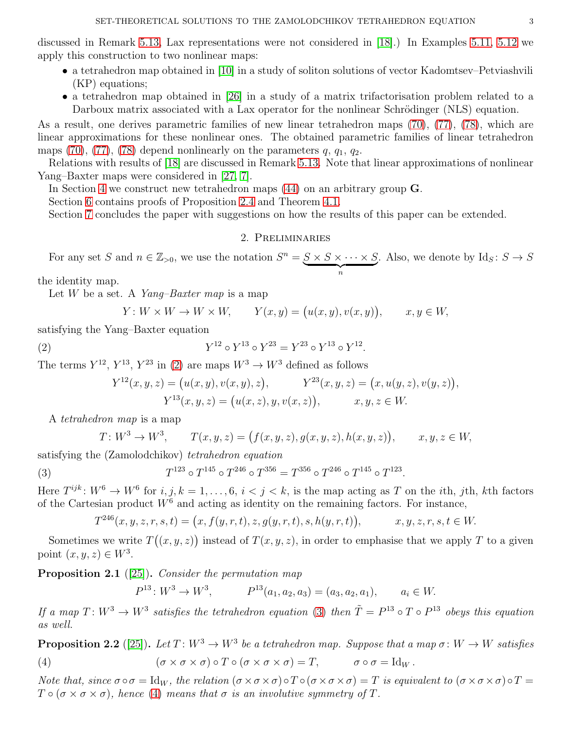discussed in Remark [5.13,](#page-17-0) Lax representations were not considered in [\[18\]](#page-19-25).) In Examples [5.11,](#page-14-1) [5.12](#page-15-0) we apply this construction to two nonlinear maps:

- a tetrahedron map obtained in [\[10\]](#page-19-0) in a study of soliton solutions of vector Kadomtsev–Petviashvili (KP) equations;
- a tetrahedron map obtained in [\[26\]](#page-19-1) in a study of a matrix trifactorisation problem related to a Darboux matrix associated with a Lax operator for the nonlinear Schrödinger (NLS) equation.

As a result, one derives parametric families of new linear tetrahedron maps [\(70\)](#page-15-1), [\(77\)](#page-16-0), [\(78\)](#page-16-1), which are linear approximations for these nonlinear ones. The obtained parametric families of linear tetrahedron maps [\(70\)](#page-15-1), [\(77\)](#page-16-0), [\(78\)](#page-16-1) depend nonlinearly on the parameters  $q, q_1, q_2$ .

Relations with results of [\[18\]](#page-19-25) are discussed in Remark [5.13.](#page-17-0) Note that linear approximations of nonlinear Yang–Baxter maps were considered in [\[27,](#page-19-21) [7\]](#page-19-26).

In Section [4](#page-9-2) we construct new tetrahedron maps [\(44\)](#page-10-1) on an arbitrary group G.

Section [6](#page-17-1) contains proofs of Proposition [2.4](#page-3-4) and Theorem [4.1.](#page-10-2)

<span id="page-2-0"></span>Section [7](#page-18-0) concludes the paper with suggestions on how the results of this paper can be extended.

### 2. Preliminaries

For any set S and  $n \in \mathbb{Z}_{>0}$ , we use the notation  $S^n = S \times S \times \cdots \times S$  $\overbrace{n}$ . Also, we denote by  $Id_S: S \to S$ 

the identity map.

Let  $W$  be a set. A Yang–Baxter map is a map

<span id="page-2-1"></span>
$$
Y: W \times W \to W \times W, \qquad Y(x, y) = (u(x, y), v(x, y)), \qquad x, y \in W,
$$

satisfying the Yang–Baxter equation

(2) 
$$
Y^{12} \circ Y^{13} \circ Y^{23} = Y^{23} \circ Y^{13} \circ Y^{12}.
$$

The terms  $Y^{12}$ ,  $Y^{13}$ ,  $Y^{23}$  in [\(2\)](#page-2-1) are maps  $W^3 \to W^3$  defined as follows

$$
Y^{12}(x, y, z) = (u(x, y), v(x, y), z), \qquad Y^{23}(x, y, z) = (x, u(y, z), v(y, z)),
$$
  

$$
Y^{13}(x, y, z) = (u(x, z), y, v(x, z)), \qquad x, y, z \in W.
$$

A tetrahedron map is a map

<span id="page-2-2"></span>
$$
T: W^3 \to W^3
$$
,  $T(x, y, z) = (f(x, y, z), g(x, y, z), h(x, y, z)),$   $x, y, z \in W$ ,

satisfying the (Zamolodchikov) tetrahedron equation

(3) 
$$
T^{123} \circ T^{145} \circ T^{246} \circ T^{356} = T^{356} \circ T^{246} \circ T^{145} \circ T^{123}.
$$

Here  $T^{ijk}: W^6 \to W^6$  for  $i, j, k = 1, \ldots, 6, i < j < k$ , is the map acting as T on the *i*th, *j*th, *k*th factors of the Cartesian product  $W^6$  and acting as identity on the remaining factors. For instance,

$$
T^{246}(x, y, z, r, s, t) = (x, f(y, r, t), z, g(y, r, t), s, h(y, r, t)), \qquad x, y, z, r, s, t \in W.
$$

Sometimes we write  $T((x, y, z))$  instead of  $T(x, y, z)$ , in order to emphasise that we apply T to a given point  $(x, y, z) \in W^3$ .

<span id="page-2-4"></span>**Proposition 2.1** ([\[25\]](#page-19-11)). Consider the permutation map

$$
P^{13}: W^3 \to W^3
$$
,  $P^{13}(a_1, a_2, a_3) = (a_3, a_2, a_1)$ ,  $a_i \in W$ .

If a map  $T: W^3 \to W^3$  satisfies the tetrahedron equation [\(3\)](#page-2-2) then  $\tilde{T} = P^{13} \circ T \circ P^{13}$  obeys this equation as well.

<span id="page-2-5"></span><span id="page-2-3"></span>**Proposition 2.2** ([\[25\]](#page-19-11)). Let  $T: W^3 \to W^3$  be a tetrahedron map. Suppose that a map  $\sigma: W \to W$  satisfies (4)  $(\sigma \times \sigma \times \sigma) \circ T \circ (\sigma \times \sigma \times \sigma) = T, \qquad \sigma \circ \sigma = \text{Id}_W.$ 

Note that, since  $\sigma \circ \sigma = \text{Id}_W$ , the relation  $(\sigma \times \sigma \times \sigma) \circ T \circ (\sigma \times \sigma \times \sigma) = T$  is equivalent to  $(\sigma \times \sigma \times \sigma) \circ T =$  $T \circ (\sigma \times \sigma \times \sigma)$ , hence [\(4\)](#page-2-3) means that  $\sigma$  is an involutive symmetry of T.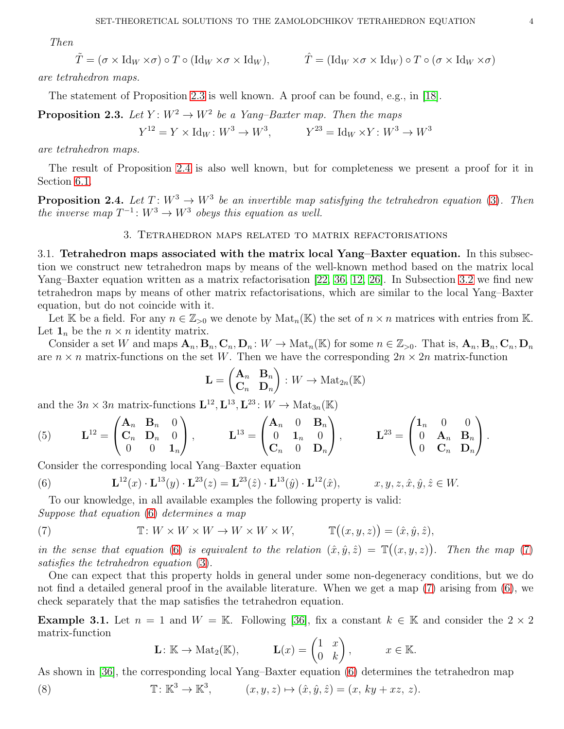Then

$$
\tilde{T} = (\sigma \times \mathrm{Id}_W \times \sigma) \circ T \circ (\mathrm{Id}_W \times \sigma \times \mathrm{Id}_W), \qquad \hat{T} = (\mathrm{Id}_W \times \sigma \times \mathrm{Id}_W) \circ T \circ (\sigma \times \mathrm{Id}_W \times \sigma)
$$

are tetrahedron maps.

The statement of Proposition [2.3](#page-3-5) is well known. A proof can be found, e.g., in [\[18\]](#page-19-25).

<span id="page-3-5"></span>**Proposition 2.3.** Let 
$$
Y: W^2 \to W^2
$$
 be a Yang-Baster map. Then the maps

$$
Y^{12} = Y \times \text{Id}_W : W^3 \to W^3
$$
,  $Y^{23} = \text{Id}_W \times Y : W^3 \to W^3$ 

are tetrahedron maps.

The result of Proposition [2.4](#page-3-4) is also well known, but for completeness we present a proof for it in Section [6.1.](#page-17-2)

<span id="page-3-7"></span><span id="page-3-4"></span>**Proposition 2.4.** Let  $T: W^3 \to W^3$  be an invertible map satisfying the tetrahedron equation [\(3\)](#page-2-2). Then the inverse map  $T^{-1}$ :  $W^3 \to W^3$  obeys this equation as well.

3. Tetrahedron maps related to matrix refactorisations

<span id="page-3-0"></span>3.1. Tetrahedron maps associated with the matrix local Yang–Baxter equation. In this subsection we construct new tetrahedron maps by means of the well-known method based on the matrix local Yang–Baxter equation written as a matrix refactorisation [\[22,](#page-19-10) [36,](#page-20-0) [12,](#page-19-7) [26\]](#page-19-1). In Subsection [3.2](#page-5-0) we find new tetrahedron maps by means of other matrix refactorisations, which are similar to the local Yang–Baxter equation, but do not coincide with it.

Let K be a field. For any  $n \in \mathbb{Z}_{>0}$  we denote by  $\text{Mat}_n(\mathbb{K})$  the set of  $n \times n$  matrices with entries from K. Let  $\mathbf{1}_n$  be the  $n \times n$  identity matrix.

Consider a set W and maps  $\mathbf{A}_n, \mathbf{B}_n, \mathbf{C}_n, \mathbf{D}_n : W \to \text{Mat}_n(\mathbb{K})$  for some  $n \in \mathbb{Z}_{>0}$ . That is,  $\mathbf{A}_n, \mathbf{B}_n, \mathbf{C}_n, \mathbf{D}_n$ are  $n \times n$  matrix-functions on the set W. Then we have the corresponding  $2n \times 2n$  matrix-function

$$
\mathbf{L} = \begin{pmatrix} \mathbf{A}_n & \mathbf{B}_n \\ \mathbf{C}_n & \mathbf{D}_n \end{pmatrix} : W \to \text{Mat}_{2n}(\mathbb{K})
$$

and the  $3n \times 3n$  matrix-functions  $\mathbf{L}^{12}$ ,  $\mathbf{L}^{13}$ ,  $\mathbf{L}^{23}$ :  $W \to \text{Mat}_{3n}(\mathbb{K})$ 

<span id="page-3-1"></span>(5) 
$$
\mathbf{L}^{12} = \begin{pmatrix} \mathbf{A}_n & \mathbf{B}_n & 0 \\ \mathbf{C}_n & \mathbf{D}_n & 0 \\ 0 & 0 & \mathbf{1}_n \end{pmatrix}, \qquad \mathbf{L}^{13} = \begin{pmatrix} \mathbf{A}_n & 0 & \mathbf{B}_n \\ 0 & \mathbf{1}_n & 0 \\ \mathbf{C}_n & 0 & \mathbf{D}_n \end{pmatrix}, \qquad \mathbf{L}^{23} = \begin{pmatrix} \mathbf{1}_n & 0 & 0 \\ 0 & \mathbf{A}_n & \mathbf{B}_n \\ 0 & \mathbf{C}_n & \mathbf{D}_n \end{pmatrix}.
$$

Consider the corresponding local Yang–Baxter equation

<span id="page-3-2"></span>(6) 
$$
\mathbf{L}^{12}(x) \cdot \mathbf{L}^{13}(y) \cdot \mathbf{L}^{23}(z) = \mathbf{L}^{23}(\hat{z}) \cdot \mathbf{L}^{13}(\hat{y}) \cdot \mathbf{L}^{12}(\hat{x}), \qquad x, y, z, \hat{x}, \hat{y}, \hat{z} \in W.
$$

To our knowledge, in all available examples the following property is valid: Suppose that equation [\(6\)](#page-3-2) determines a map

<span id="page-3-6"></span>(7) 
$$
\mathbb{T}: W \times W \times W \to W \times W \times W, \qquad \mathbb{T}((x, y, z)) = (\hat{x}, \hat{y}, \hat{z}),
$$

in the sense that equation [\(6\)](#page-3-2) is equivalent to the relation  $(\hat{x}, \hat{y}, \hat{z}) = \mathbb{T}((x, y, z))$ . Then the map [\(7\)](#page-3-6) satisfies the tetrahedron equation [\(3\)](#page-2-2).

One can expect that this property holds in general under some non-degeneracy conditions, but we do not find a detailed general proof in the available literature. When we get a map [\(7\)](#page-3-6) arising from [\(6\)](#page-3-2), we check separately that the map satisfies the tetrahedron equation.

**Example 3.1.** Let  $n = 1$  and  $W = K$ . Following [\[36\]](#page-20-0), fix a constant  $k \in K$  and consider the  $2 \times 2$ matrix-function

$$
\mathbf{L}: \mathbb{K} \to \text{Mat}_2(\mathbb{K}), \qquad \mathbf{L}(x) = \begin{pmatrix} 1 & x \\ 0 & k \end{pmatrix}, \qquad x \in \mathbb{K}.
$$

As shown in [\[36\]](#page-20-0), the corresponding local Yang–Baxter equation [\(6\)](#page-3-2) determines the tetrahedron map

<span id="page-3-3"></span>(8)  $\mathbb{T}: \mathbb{K}^3 \to \mathbb{K}^3$ ,  $(x, y, z) \mapsto (\hat{x}, \hat{y}, \hat{z}) = (x, ky + xz, z).$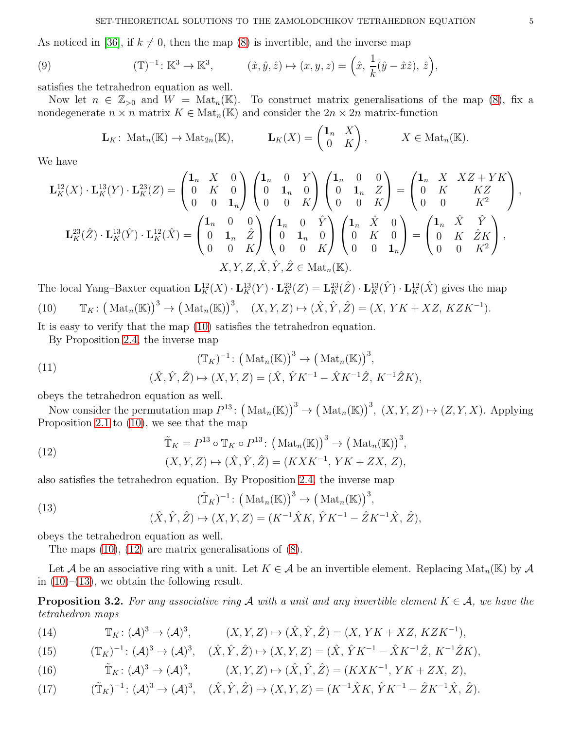As noticed in [\[36\]](#page-20-0), if  $k \neq 0$ , then the map [\(8\)](#page-3-3) is invertible, and the inverse map

(9) 
$$
(\mathbb{T})^{-1} : \mathbb{K}^3 \to \mathbb{K}^3
$$
,  $(\hat{x}, \hat{y}, \hat{z}) \mapsto (x, y, z) = (\hat{x}, \frac{1}{k}(\hat{y} - \hat{x}\hat{z}), \hat{z}),$ 

satisfies the tetrahedron equation as well.

Now let  $n \in \mathbb{Z}_{>0}$  and  $W = \text{Mat}_n(\mathbb{K})$ . To construct matrix generalisations of the map [\(8\)](#page-3-3), fix a nondegenerate  $n \times n$  matrix  $K \in Mat_n(\mathbb{K})$  and consider the  $2n \times 2n$  matrix-function

$$
\mathbf{L}_K\colon \operatorname{Mat}_n(\mathbb{K}) \to \operatorname{Mat}_{2n}(\mathbb{K}), \qquad \mathbf{L}_K(X) = \begin{pmatrix} \mathbf{1}_n & X \\ 0 & K \end{pmatrix}, \qquad X \in \operatorname{Mat}_n(\mathbb{K}).
$$

We have

$$
\mathbf{L}_{K}^{12}(X) \cdot \mathbf{L}_{K}^{13}(Y) \cdot \mathbf{L}_{K}^{23}(Z) = \begin{pmatrix} \mathbf{1}_{n} & X & 0 \\ 0 & K & 0 \\ 0 & 0 & \mathbf{1}_{n} \end{pmatrix} \begin{pmatrix} \mathbf{1}_{n} & 0 & Y \\ 0 & \mathbf{1}_{n} & 0 \\ 0 & 0 & K \end{pmatrix} \begin{pmatrix} \mathbf{1}_{n} & 0 & 0 \\ 0 & \mathbf{1}_{n} & Z \\ 0 & 0 & K \end{pmatrix} = \begin{pmatrix} \mathbf{1}_{n} & X & XZ + YK \\ 0 & K & KZ \\ 0 & 0 & K^{2} \end{pmatrix},
$$

$$
\mathbf{L}_{K}^{23}(\hat{Z}) \cdot \mathbf{L}_{K}^{13}(\hat{Y}) \cdot \mathbf{L}_{K}^{12}(\hat{X}) = \begin{pmatrix} \mathbf{1}_{n} & 0 & 0 \\ 0 & \mathbf{1}_{n} & \hat{Z} \\ 0 & 0 & K \end{pmatrix} \begin{pmatrix} \mathbf{1}_{n} & 0 & \hat{Y} \\ 0 & \mathbf{1}_{n} & 0 \\ 0 & 0 & K \end{pmatrix} \begin{pmatrix} \mathbf{1}_{n} & \hat{X} & 0 \\ 0 & K & 0 \\ 0 & 0 & 1 \end{pmatrix} = \begin{pmatrix} \mathbf{1}_{n} & \hat{X} & \hat{Y} \\ 0 & K & \hat{Z}K \\ 0 & 0 & K^{2} \end{pmatrix},
$$

$$
X, Y, Z, \hat{X}, \hat{Y}, \hat{Z} \in \text{Mat}_{n}(\mathbb{K}).
$$

<span id="page-4-0"></span>The local Yang–Baxter equation  ${\bf L}_K^{12}(X) \cdot {\bf L}_K^{13}(Y) \cdot {\bf L}_K^{23}(Z) = {\bf L}_K^{23}(\hat{Z}) \cdot {\bf L}_K^{13}(\hat{Y}) \cdot {\bf L}_K^{12}(\hat{X})$  gives the map (10)  $\mathbb{T}_K: (\text{Mat}_n(\mathbb{K}))^3 \to (\text{Mat}_n(\mathbb{K}))^3, \quad (X, Y, Z) \mapsto (\hat{X}, \hat{Y}, \hat{Z}) = (X, YK + XZ, KZK^{-1}).$ 

It is easy to verify that the map [\(10\)](#page-4-0) satisfies the tetrahedron equation.

By Proposition [2.4,](#page-3-4) the inverse map

(11) 
$$
(\mathbb{T}_K)^{-1} : (\text{Mat}_n(\mathbb{K}))^3 \to (\text{Mat}_n(\mathbb{K}))^3,
$$

$$
(\hat{X}, \hat{Y}, \hat{Z}) \mapsto (X, Y, Z) = (\hat{X}, \hat{Y}K^{-1} - \hat{X}K^{-1}\hat{Z}, K^{-1}\hat{Z}K),
$$

obeys the tetrahedron equation as well.

Now consider the permutation map  $P^{13}$ :  $({\rm Mat}_n(\mathbb{K}))^3 \to ({\rm Mat}_n(\mathbb{K}))^3$ ,  $(X, Y, Z) \mapsto (Z, Y, X)$ . Applying Proposition [2.1](#page-2-4) to [\(10\)](#page-4-0), we see that the map

<span id="page-4-1"></span>(12)  
\n
$$
\tilde{\mathbb{T}}_K = P^{13} \circ \mathbb{T}_K \circ P^{13} : (\text{Mat}_n(\mathbb{K}))^3 \to (\text{Mat}_n(\mathbb{K}))^3,
$$
\n
$$
(X, Y, Z) \mapsto (\hat{X}, \hat{Y}, \hat{Z}) = (K X K^{-1}, Y K + Z X, Z),
$$

also satisfies the tetrahedron equation. By Proposition [2.4,](#page-3-4) the inverse map

<span id="page-4-5"></span>(13) 
$$
(\tilde{T}_K)^{-1} : (\text{Mat}_n(\mathbb{K}))^3 \to (\text{Mat}_n(\mathbb{K}))^3, (\hat{X}, \hat{Y}, \hat{Z}) \mapsto (X, Y, Z) = (K^{-1}\hat{X}K, \hat{Y}K^{-1} - \hat{Z}K^{-1}\hat{X}, \hat{Z}),
$$

obeys the tetrahedron equation as well.

The maps  $(10)$ ,  $(12)$  are matrix generalisations of  $(8)$ .

Let A be an associative ring with a unit. Let  $K \in \mathcal{A}$  be an invertible element. Replacing  $\text{Mat}_n(\mathbb{K})$  by A in  $(10)$ – $(13)$ , we obtain the following result.

<span id="page-4-2"></span>**Proposition 3.2.** For any associative ring A with a unit and any invertible element  $K \in \mathcal{A}$ , we have the tetrahedron maps

<span id="page-4-3"></span>(14) 
$$
\mathbb{T}_K: (\mathcal{A})^3 \to (\mathcal{A})^3, \qquad (X, Y, Z) \mapsto (\hat{X}, \hat{Y}, \hat{Z}) = (X, YK + XZ, KZK^{-1}),
$$

(15) 
$$
(\mathbb{T}_K)^{-1} : (\mathcal{A})^3 \to (\mathcal{A})^3, \quad (\hat{X}, \hat{Y}, \hat{Z}) \mapsto (X, Y, Z) = (\hat{X}, \hat{Y}K^{-1} - \hat{X}K^{-1}\hat{Z}, K^{-1}\hat{Z}K),
$$

<span id="page-4-4"></span>(16) 
$$
\tilde{\mathbb{T}}_K \colon (\mathcal{A})^3 \to (\mathcal{A})^3, \qquad (X, Y, Z) \mapsto (\hat{X}, \hat{Y}, \hat{Z}) = (K X K^{-1}, Y K + Z X, Z),
$$

<span id="page-4-6"></span>(17) 
$$
(\tilde{\mathbb{T}}_K)^{-1} : (\mathcal{A})^3 \to (\mathcal{A})^3, \quad (\hat{X}, \hat{Y}, \hat{Z}) \mapsto (X, Y, Z) = (K^{-1}\hat{X}K, \hat{Y}K^{-1} - \hat{Z}K^{-1}\hat{X}, \hat{Z}).
$$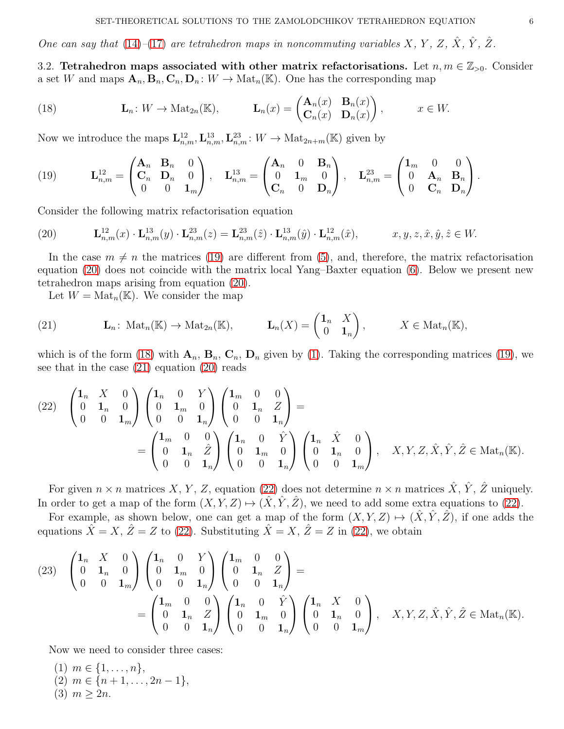One can say that  $(14)–(17)$  $(14)–(17)$  $(14)–(17)$  are tetrahedron maps in noncommuting variables X, Y, Z,  $\hat{X}$ ,  $\hat{Y}$ ,  $\hat{Z}$ .

<span id="page-5-0"></span>3.2. Tetrahedron maps associated with other matrix refactorisations. Let  $n, m \in \mathbb{Z}_{>0}$ . Consider a set W and maps  $\mathbf{A}_n$ ,  $\mathbf{B}_n$ ,  $\mathbf{C}_n$ ,  $\mathbf{D}_n$ :  $W \to \text{Mat}_n(\mathbb{K})$ . One has the corresponding map

<span id="page-5-3"></span>(18) 
$$
\mathbf{L}_n: W \to \text{Mat}_{2n}(\mathbb{K}), \qquad \mathbf{L}_n(x) = \begin{pmatrix} \mathbf{A}_n(x) & \mathbf{B}_n(x) \\ \mathbf{C}_n(x) & \mathbf{D}_n(x) \end{pmatrix}, \qquad x \in W.
$$

Now we introduce the maps  $\mathbf{L}_{n,m}^{12}, \mathbf{L}_{n,m}^{13}, \mathbf{L}_{n,m}^{23} : W \to \text{Mat}_{2n+m}(\mathbb{K})$  given by

<span id="page-5-2"></span>(19) 
$$
\mathbf{L}_{n,m}^{12} = \begin{pmatrix} \mathbf{A}_n & \mathbf{B}_n & 0 \\ \mathbf{C}_n & \mathbf{D}_n & 0 \\ 0 & 0 & \mathbf{1}_m \end{pmatrix}, \quad \mathbf{L}_{n,m}^{13} = \begin{pmatrix} \mathbf{A}_n & 0 & \mathbf{B}_n \\ 0 & \mathbf{1}_m & 0 \\ \mathbf{C}_n & 0 & \mathbf{D}_n \end{pmatrix}, \quad \mathbf{L}_{n,m}^{23} = \begin{pmatrix} \mathbf{1}_m & 0 & 0 \\ 0 & \mathbf{A}_n & \mathbf{B}_n \\ 0 & \mathbf{C}_n & \mathbf{D}_n \end{pmatrix}.
$$

Consider the following matrix refactorisation equation

<span id="page-5-1"></span>(20) 
$$
\mathbf{L}_{n,m}^{12}(x) \cdot \mathbf{L}_{n,m}^{13}(y) \cdot \mathbf{L}_{n,m}^{23}(z) = \mathbf{L}_{n,m}^{23}(\hat{z}) \cdot \mathbf{L}_{n,m}^{13}(\hat{y}) \cdot \mathbf{L}_{n,m}^{12}(\hat{x}), \qquad x, y, z, \hat{x}, \hat{y}, \hat{z} \in W.
$$

In the case  $m \neq n$  the matrices [\(19\)](#page-5-2) are different from [\(5\)](#page-3-1), and, therefore, the matrix refactorisation equation [\(20\)](#page-5-1) does not coincide with the matrix local Yang–Baxter equation [\(6\)](#page-3-2). Below we present new tetrahedron maps arising from equation [\(20\)](#page-5-1).

Let  $W = \text{Mat}_n(\mathbb{K})$ . We consider the map

<span id="page-5-4"></span>(21) 
$$
\mathbf{L}_n: \text{Mat}_n(\mathbb{K}) \to \text{Mat}_{2n}(\mathbb{K}), \qquad \mathbf{L}_n(X) = \begin{pmatrix} \mathbf{1}_n & X \\ 0 & \mathbf{1}_n \end{pmatrix}, \qquad X \in \text{Mat}_n(\mathbb{K}),
$$

which is of the form [\(18\)](#page-5-3) with  $\mathbf{A}_n$ ,  $\mathbf{B}_n$ ,  $\mathbf{C}_n$ ,  $\mathbf{D}_n$  given by [\(1\)](#page-1-0). Taking the corresponding matrices [\(19\)](#page-5-2), we see that in the case [\(21\)](#page-5-4) equation [\(20\)](#page-5-1) reads

<span id="page-5-5"></span>
$$
(22) \begin{pmatrix} \mathbf{1}_n & X & 0 \\ 0 & \mathbf{1}_n & 0 \\ 0 & 0 & \mathbf{1}_m \end{pmatrix} \begin{pmatrix} \mathbf{1}_n & 0 & Y \\ 0 & \mathbf{1}_m & 0 \\ 0 & 0 & \mathbf{1}_n \end{pmatrix} \begin{pmatrix} \mathbf{1}_m & 0 & 0 \\ 0 & \mathbf{1}_n & Z \\ 0 & 0 & \mathbf{1}_n \end{pmatrix} = \begin{pmatrix} \mathbf{1}_m & 0 & 0 \\ 0 & \mathbf{1}_n & \hat{Z} \\ 0 & 0 & \mathbf{1}_n \end{pmatrix} \begin{pmatrix} \mathbf{1}_n & 0 & \hat{Y} \\ 0 & \mathbf{1}_m & 0 \\ 0 & 0 & \mathbf{1}_n \end{pmatrix} \begin{pmatrix} \mathbf{1}_n & \hat{X} & 0 \\ 0 & \mathbf{1}_n & 0 \\ 0 & 0 & \mathbf{1}_m \end{pmatrix}, \quad X, Y, Z, \hat{X}, \hat{Y}, \hat{Z} \in \text{Mat}_n(\mathbb{K}).
$$

For given  $n \times n$  matrices X, Y, Z, equation [\(22\)](#page-5-5) does not determine  $n \times n$  matrices  $\hat{X}, \hat{Y}, \hat{Z}$  uniquely. In order to get a map of the form  $(X, Y, Z) \mapsto (\hat{X}, \hat{Y}, \hat{Z})$ , we need to add some extra equations to [\(22\)](#page-5-5).

For example, as shown below, one can get a map of the form  $(X, Y, Z) \mapsto (\hat{X}, \hat{Y}, \hat{Z})$ , if one adds the equations  $\hat{X} = X$ ,  $\hat{Z} = Z$  to [\(22\)](#page-5-5). Substituting  $\hat{X} = X$ ,  $\hat{Z} = Z$  in (22), we obtain

<span id="page-5-6"></span>
$$
(23) \begin{pmatrix} \mathbf{1}_n & X & 0 \\ 0 & \mathbf{1}_n & 0 \\ 0 & 0 & \mathbf{1}_m \end{pmatrix} \begin{pmatrix} \mathbf{1}_n & 0 & Y \\ 0 & \mathbf{1}_m & 0 \\ 0 & 0 & \mathbf{1}_n \end{pmatrix} \begin{pmatrix} \mathbf{1}_m & 0 & 0 \\ 0 & \mathbf{1}_n & Z \\ 0 & 0 & \mathbf{1}_n \end{pmatrix} = \begin{pmatrix} \mathbf{1}_m & 0 & 0 \\ 0 & \mathbf{1}_n & Z \\ 0 & 0 & \mathbf{1}_n \end{pmatrix} \begin{pmatrix} \mathbf{1}_n & 0 & \hat{Y} \\ 0 & \mathbf{1}_m & 0 \\ 0 & 0 & \mathbf{1}_n \end{pmatrix} \begin{pmatrix} \mathbf{1}_n & X & 0 \\ 0 & \mathbf{1}_n & 0 \\ 0 & 0 & \mathbf{1}_m \end{pmatrix}, \quad X, Y, Z, \hat{X}, \hat{Y}, \hat{Z} \in \text{Mat}_n(\mathbb{K}).
$$

Now we need to consider three cases:

(1)  $m \in \{1, \ldots, n\},\$ (2)  $m \in \{n+1, \ldots, 2n-1\},\$ (3)  $m \geq 2n$ .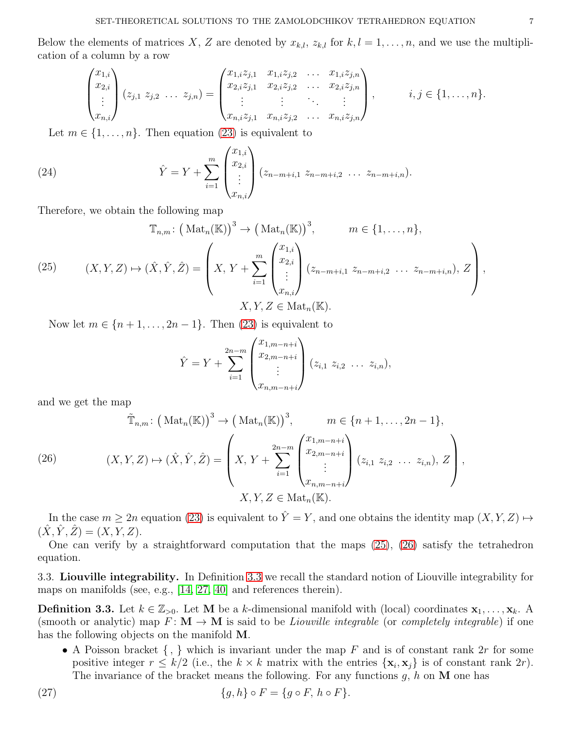Below the elements of matrices X, Z are denoted by  $x_{k,l}$ ,  $z_{k,l}$  for  $k, l = 1, \ldots, n$ , and we use the multiplication of a column by a row

$$
\begin{pmatrix} x_{1,i} \\ x_{2,i} \\ \vdots \\ x_{n,i} \end{pmatrix} (z_{j,1} \ z_{j,2} \ \ldots \ z_{j,n}) = \begin{pmatrix} x_{1,i}z_{j,1} & x_{1,i}z_{j,2} & \ldots & x_{1,i}z_{j,n} \\ x_{2,i}z_{j,1} & x_{2,i}z_{j,2} & \ldots & x_{2,i}z_{j,n} \\ \vdots & \vdots & \ddots & \vdots \\ x_{n,i}z_{j,1} & x_{n,i}z_{j,2} & \ldots & x_{n,i}z_{j,n} \end{pmatrix}, \qquad i,j \in \{1,\ldots,n\}.
$$

Let  $m \in \{1, \ldots, n\}$ . Then equation [\(23\)](#page-5-6) is equivalent to

(24) 
$$
\hat{Y} = Y + \sum_{i=1}^{m} \begin{pmatrix} x_{1,i} \\ x_{2,i} \\ \vdots \\ x_{n,i} \end{pmatrix} (z_{n-m+i,1} \ z_{n-m+i,2} \ \ldots \ z_{n-m+i,n}).
$$

Therefore, we obtain the following map

<span id="page-6-0"></span>(25) 
$$
\mathbb{T}_{n,m}: (\text{Mat}_{n}(\mathbb{K}))^{3} \to (\text{Mat}_{n}(\mathbb{K}))^{3}, \qquad m \in \{1, ..., n\},
$$

$$
(25) 
$$
(X, Y, Z) \mapsto (\hat{X}, \hat{Y}, \hat{Z}) = \left(X, Y + \sum_{i=1}^{m} \begin{pmatrix} x_{1,i} \\ x_{2,i} \\ \vdots \\ x_{n,i} \end{pmatrix} (z_{n-m+i,1} \ z_{n-m+i,2} \ \dots \ z_{n-m+i,n}), Z\right),
$$

$$
X, Y, Z \in \text{Mat}_{n}(\mathbb{K}).
$$
$$

Now let  $m \in \{n+1,\ldots,2n-1\}$ . Then [\(23\)](#page-5-6) is equivalent to

$$
\hat{Y} = Y + \sum_{i=1}^{2n-m} \begin{pmatrix} x_{1,m-n+i} \\ x_{2,m-n+i} \\ \vdots \\ x_{n,m-n+i} \end{pmatrix} (z_{i,1} \ z_{i,2} \ \ldots \ z_{i,n}),
$$

and we get the map

<span id="page-6-1"></span>(26) 
$$
\tilde{\mathbb{T}}_{n,m}: (\text{Mat}_n(\mathbb{K}))^3 \to (\text{Mat}_n(\mathbb{K}))^3, \qquad m \in \{n+1, ..., 2n-1\},
$$

$$
(X, Y, Z) \mapsto (\hat{X}, \hat{Y}, \hat{Z}) = \left(X, Y + \sum_{i=1}^{2n-m} \begin{pmatrix} x_{1,m-n+i} \\ x_{2,m-n+i} \\ \vdots \\ x_{n,m-n+i} \end{pmatrix} (z_{i,1} \ z_{i,2} \ \ldots \ z_{i,n}), Z\right),
$$

$$
X, Y, Z \in \text{Mat}_n(\mathbb{K}).
$$

In the case  $m \geq 2n$  equation [\(23\)](#page-5-6) is equivalent to  $\hat{Y} = Y$ , and one obtains the identity map  $(X, Y, Z) \mapsto$  $(\hat{X}, \hat{Y}, \hat{Z}) = (X, Y, Z).$ 

One can verify by a straightforward computation that the maps [\(25\)](#page-6-0), [\(26\)](#page-6-1) satisfy the tetrahedron equation.

<span id="page-6-2"></span>3.3. Liouville integrability. In Definition [3.3](#page-6-3) we recall the standard notion of Liouville integrability for maps on manifolds (see, e.g., [\[14,](#page-19-22) [27,](#page-19-21) [40\]](#page-20-11) and references therein).

<span id="page-6-3"></span>**Definition 3.3.** Let  $k \in \mathbb{Z}_{>0}$ . Let M be a k-dimensional manifold with (local) coordinates  $\mathbf{x}_1, \ldots, \mathbf{x}_k$ . A (smooth or analytic) map  $F: M \to M$  is said to be *Liouville integrable* (or *completely integrable*) if one has the following objects on the manifold M.

<span id="page-6-4"></span>• A Poisson bracket  $\{ , \}$  which is invariant under the map F and is of constant rank 2r for some positive integer  $r \leq k/2$  (i.e., the  $k \times k$  matrix with the entries  $\{x_i, x_j\}$  is of constant rank  $2r$ ). The invariance of the bracket means the following. For any functions  $g, h$  on M one has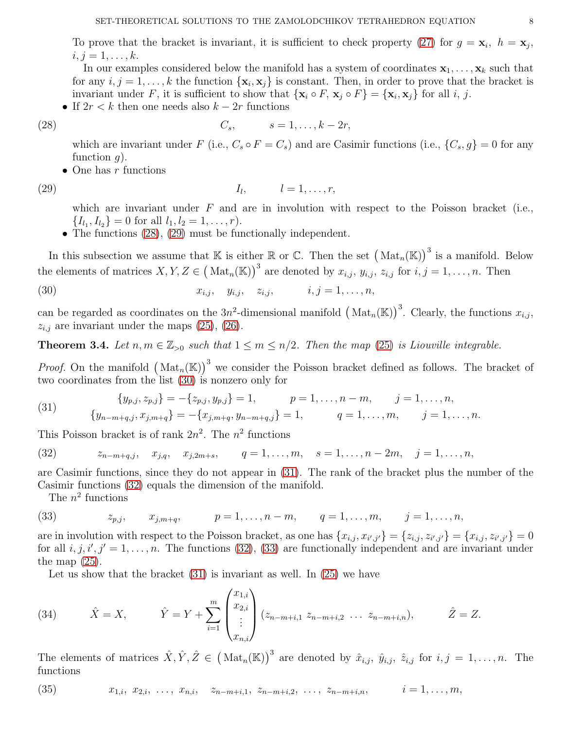To prove that the bracket is invariant, it is sufficient to check property [\(27\)](#page-6-4) for  $g = \mathbf{x}_i$ ,  $h = \mathbf{x}_j$ ,  $i, j = 1, \ldots, k.$ 

In our examples considered below the manifold has a system of coordinates  $x_1, \ldots, x_k$  such that for any  $i, j = 1, \ldots, k$  the function  $\{x_i, x_j\}$  is constant. Then, in order to prove that the bracket is invariant under F, it is sufficient to show that  $\{x_i \circ F, x_j \circ F\} = \{x_i, x_j\}$  for all i, j.

• If  $2r < k$  then one needs also  $k - 2r$  functions

$$
(28)
$$

<span id="page-7-1"></span>
$$
C_s, \qquad s=1,\ldots,k-2r,
$$

which are invariant under F (i.e.,  $C_s \circ F = C_s$ ) and are Casimir functions (i.e.,  $\{C_s, g\} = 0$  for any function  $q$ ).

• One has  $r$  functions

<span id="page-7-2"></span>
$$
(29)
$$

 $I_l, \qquad l = 1, \ldots, r,$ 

which are invariant under  $F$  and are in involution with respect to the Poisson bracket (i.e.,  $\{I_{l_1}, I_{l_2}\} = 0$  for all  $l_1, l_2 = 1, \ldots, r$ .

• The functions  $(28)$ ,  $(29)$  must be functionally independent.

In this subsection we assume that K is either R or C. Then the set  $(Nat_n(K))^3$  is a manifold. Below the elements of matrices  $X, Y, Z \in (\text{Mat}_n(\mathbb{K}))^3$  are denoted by  $x_{i,j}, y_{i,j}, z_{i,j}$  for  $i, j = 1, \ldots, n$ . Then

<span id="page-7-3"></span>(30) 
$$
x_{i,j}, y_{i,j}, z_{i,j}, i, j = 1,...,n,
$$

can be regarded as coordinates on the  $3n^2$ -dimensional manifold  $(Nat_n(\mathbb{K}))^3$ . Clearly, the functions  $x_{i,j}$ ,  $z_{i,j}$  are invariant under the maps [\(25\)](#page-6-0), [\(26\)](#page-6-1).

<span id="page-7-0"></span>**Theorem 3.4.** Let  $n, m \in \mathbb{Z}_{>0}$  such that  $1 \leq m \leq n/2$ . Then the map [\(25\)](#page-6-0) is Liouville integrable.

*Proof.* On the manifold  $(Mat_n(K))^3$  we consider the Poisson bracket defined as follows. The bracket of two coordinates from the list [\(30\)](#page-7-3) is nonzero only for

<span id="page-7-4"></span>(31) 
$$
\{y_{p,j}, z_{p,j}\} = -\{z_{p,j}, y_{p,j}\} = 1, \qquad p = 1, \ldots, n-m, \qquad j = 1, \ldots, n,
$$

$$
\{y_{n-m+q,j}, x_{j,m+q}\} = -\{x_{j,m+q}, y_{n-m+q,j}\} = 1, \qquad q = 1, \ldots, m, \qquad j = 1, \ldots, n.
$$

This Poisson bracket is of rank  $2n^2$ . The  $n^2$  functions

<span id="page-7-5"></span>(32) 
$$
z_{n-m+q,j}, \quad x_{j,q}, \quad x_{j,2m+s}, \quad q = 1, \ldots, m, \quad s = 1, \ldots, n-2m, \quad j = 1, \ldots, n,
$$

are Casimir functions, since they do not appear in [\(31\)](#page-7-4). The rank of the bracket plus the number of the Casimir functions [\(32\)](#page-7-5) equals the dimension of the manifold.

The  $n^2$  functions

<span id="page-7-6"></span>(33) 
$$
z_{p,j}, \t x_{j,m+q}, \t p = 1, ..., n-m, \t q = 1, ..., m, \t j = 1, ..., n,
$$

are in involution with respect to the Poisson bracket, as one has  $\{x_{i,j}, x_{i',j'}\} = \{z_{i,j}, z_{i',j'}\} = \{x_{i,j}, z_{i',j'}\} = 0$ for all  $i, j, i', j' = 1, \ldots, n$ . The functions [\(32\)](#page-7-5), [\(33\)](#page-7-6) are functionally independent and are invariant under the map  $(25)$ .

Let us show that the bracket  $(31)$  is invariant as well. In  $(25)$  we have

<span id="page-7-7"></span>(34) 
$$
\hat{X} = X
$$
,  $\hat{Y} = Y + \sum_{i=1}^{m} \begin{pmatrix} x_{1,i} \\ x_{2,i} \\ \vdots \\ x_{n,i} \end{pmatrix} (z_{n-m+i,1} \ z_{n-m+i,2} \ \dots \ z_{n-m+i,n}), \qquad \hat{Z} = Z$ .

The elements of matrices  $\hat{X}, \hat{Y}, \hat{Z} \in (\text{Mat}_n(\mathbb{K}))^3$  are denoted by  $\hat{x}_{i,j}, \hat{y}_{i,j}, \hat{z}_{i,j}$  for  $i, j = 1, \ldots, n$ . The functions

(35)  $x_{1,i}, x_{2,i}, \ldots, x_{n,i}, z_{n-m+i,1}, z_{n-m+i,2}, \ldots, z_{n-m+i,n}, i = 1, \ldots, m,$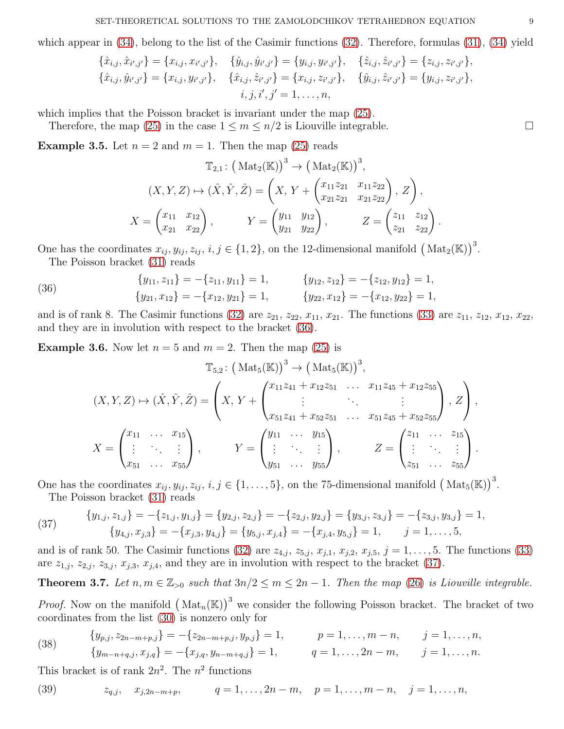which appear in [\(34\)](#page-7-7), belong to the list of the Casimir functions [\(32\)](#page-7-5). Therefore, formulas [\(31\)](#page-7-4), [\(34\)](#page-7-7) yield

$$
\begin{aligned}\n\{\hat{x}_{i,j},\hat{x}_{i',j'}\} &= \{x_{i,j}, x_{i',j'}\}, & \{\hat{y}_{i,j},\hat{y}_{i',j'}\} = \{y_{i,j}, y_{i',j'}\}, & \{\hat{z}_{i,j},\hat{z}_{i',j'}\} = \{z_{i,j}, z_{i',j'}\}, \\
\{\hat{x}_{i,j},\hat{y}_{i',j'}\} &= \{x_{i,j}, y_{i',j'}\}, & \{\hat{x}_{i,j},\hat{z}_{i',j'}\} = \{x_{i,j}, z_{i',j'}\}, & \{\hat{y}_{i,j},\hat{z}_{i',j'}\} = \{y_{i,j}, z_{i',j'}\}, \\
& i, j, i', j' = 1, \ldots, n,\n\end{aligned}
$$

which implies that the Poisson bracket is invariant under the map  $(25)$ .

Therefore, the map [\(25\)](#page-6-0) in the case  $1 \leq m \leq n/2$  is Liouville integrable.

<span id="page-8-1"></span>**Example 3.5.** Let  $n = 2$  and  $m = 1$ . Then the map [\(25\)](#page-6-0) reads

$$
\mathbb{T}_{2,1}: (\text{Mat}_2(\mathbb{K}))^3 \to (\text{Mat}_2(\mathbb{K}))^3,
$$
  

$$
(X, Y, Z) \mapsto (\hat{X}, \hat{Y}, \hat{Z}) = \left(X, Y + \begin{pmatrix} x_{11}z_{21} & x_{11}z_{22} \\ x_{21}z_{21} & x_{21}z_{22} \end{pmatrix}, Z\right),
$$
  

$$
X = \begin{pmatrix} x_{11} & x_{12} \\ x_{21} & x_{22} \end{pmatrix}, \qquad Y = \begin{pmatrix} y_{11} & y_{12} \\ y_{21} & y_{22} \end{pmatrix}, \qquad Z = \begin{pmatrix} z_{11} & z_{12} \\ z_{21} & z_{22} \end{pmatrix}.
$$

One has the coordinates  $x_{ij}$ ,  $y_{ij}$ ,  $z_{ij}$ ,  $i, j \in \{1, 2\}$ , on the 12-dimensional manifold  $(Mat_2(K))^3$ .

The Poisson bracket [\(31\)](#page-7-4) reads

<span id="page-8-3"></span>(36) 
$$
{y_{11}, z_{11}} = -{z_{11}, y_{11}} = 1, \qquad {y_{12}, z_{12}} = -{z_{12}, y_{12}} = 1, {y_{21}, x_{12}} = -{x_{12}, y_{21}} = 1, \qquad {y_{22}, x_{12}} = -{x_{12}, y_{22}} = 1,
$$

and is of rank 8. The Casimir functions [\(32\)](#page-7-5) are  $z_{21}$ ,  $z_{22}$ ,  $x_{11}$ ,  $x_{21}$ . The functions [\(33\)](#page-7-6) are  $z_{11}$ ,  $z_{12}$ ,  $x_{12}$ ,  $x_{22}$ , and they are in involution with respect to the bracket [\(36\)](#page-8-3).

<span id="page-8-2"></span>**Example 3.6.** Now let  $n = 5$  and  $m = 2$ . Then the map [\(25\)](#page-6-0) is

$$
\mathbb{T}_{5,2} : (\text{Mat}_5(\mathbb{K}))^3 \to (\text{Mat}_5(\mathbb{K}))^3,
$$
  
\n
$$
(X, Y, Z) \mapsto (\hat{X}, \hat{Y}, \hat{Z}) = \left(X, Y + \begin{pmatrix} x_{11}z_{41} + x_{12}z_{51} & \dots & x_{11}z_{45} + x_{12}z_{55} \\ \vdots & \vdots & \ddots & \vdots \\ x_{51}z_{41} + x_{52}z_{51} & \dots & x_{51}z_{45} + x_{52}z_{55} \end{pmatrix}, Z\right),
$$
  
\n
$$
X = \begin{pmatrix} x_{11} & \dots & x_{15} \\ \vdots & \ddots & \vdots \\ x_{51} & \dots & x_{55} \end{pmatrix}, Y = \begin{pmatrix} y_{11} & \dots & y_{15} \\ \vdots & \ddots & \vdots \\ y_{51} & \dots & y_{55} \end{pmatrix}, Z = \begin{pmatrix} z_{11} & \dots & z_{15} \\ \vdots & \ddots & \vdots \\ z_{51} & \dots & z_{55} \end{pmatrix}.
$$

One has the coordinates  $x_{ij}, y_{ij}, z_{ij}, i, j \in \{1, ..., 5\}$ , on the 75-dimensional manifold  $(Mat_5(K))^3$ .

The Poisson bracket [\(31\)](#page-7-4) reads

<span id="page-8-4"></span>(37) 
$$
\{y_{1,j}, z_{1,j}\} = -\{z_{1,j}, y_{1,j}\} = \{y_{2,j}, z_{2,j}\} = -\{z_{2,j}, y_{2,j}\} = \{y_{3,j}, z_{3,j}\} = -\{z_{3,j}, y_{3,j}\} = 1, \{y_{4,j}, x_{j,3}\} = -\{x_{j,3}, y_{4,j}\} = \{y_{5,j}, x_{j,4}\} = -\{x_{j,4}, y_{5,j}\} = 1, \qquad j = 1, ..., 5,
$$

and is of rank 50. The Casimir functions [\(32\)](#page-7-5) are  $z_{4,j}$ ,  $z_{5,j}$ ,  $x_{j,1}$ ,  $x_{j,2}$ ,  $x_{j,5}$ ,  $j = 1, \ldots, 5$ . The functions [\(33\)](#page-7-6) are  $z_{1,j}$ ,  $z_{2,j}$ ,  $z_{3,j}$ ,  $x_{j,3}$ ,  $x_{j,4}$ , and they are in involution with respect to the bracket [\(37\)](#page-8-4).

<span id="page-8-0"></span>**Theorem 3.7.** Let  $n, m \in \mathbb{Z}_{>0}$  such that  $3n/2 \le m \le 2n - 1$ . Then the map [\(26\)](#page-6-1) is Liouville integrable.

*Proof.* Now on the manifold  $(Mat_n(K))^3$  we consider the following Poisson bracket. The bracket of two coordinates from the list [\(30\)](#page-7-3) is nonzero only for

<span id="page-8-5"></span>(38) 
$$
\{y_{p,j}, z_{2n-m+p,j}\} = -\{z_{2n-m+p,j}, y_{p,j}\} = 1, \qquad p = 1, \ldots, m-n, \qquad j = 1, \ldots, n,
$$

$$
\{y_{m-n+q,j}, x_{j,q}\} = -\{x_{j,q}, y_{n-m+q,j}\} = 1, \qquad q = 1, \ldots, 2n-m, \qquad j = 1, \ldots, n.
$$

This bracket is of rank  $2n^2$ . The  $n^2$  functions

<span id="page-8-6"></span>(39) 
$$
z_{q,j}, \quad x_{j,2n-m+p}, \quad q = 1, \ldots, 2n-m, \quad p = 1, \ldots, m-n, \quad j = 1, \ldots, n,
$$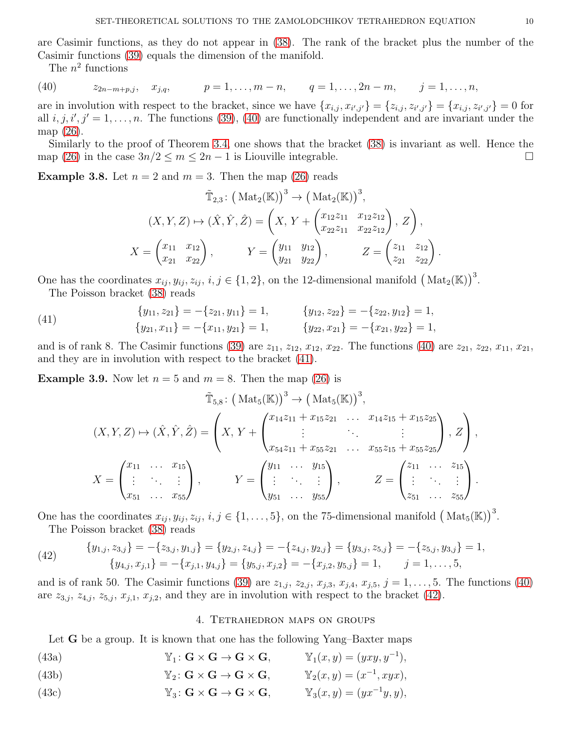are Casimir functions, as they do not appear in [\(38\)](#page-8-5). The rank of the bracket plus the number of the Casimir functions [\(39\)](#page-8-6) equals the dimension of the manifold.

The  $n^2$  functions

<span id="page-9-3"></span>(40)  $z_{2n-m+p,j}, \quad x_{j,q}, \quad p = 1, \ldots, m-n, \quad q = 1, \ldots, 2n-m, \quad j = 1, \ldots, n,$ 

are in involution with respect to the bracket, since we have  $\{x_{i,j}, x_{i',j'}\} = \{z_{i,j}, z_{i',j'}\} = \{x_{i,j}, z_{i',j'}\} = 0$  for all  $i, j, i', j' = 1, \ldots, n$ . The functions [\(39\)](#page-8-6), [\(40\)](#page-9-3) are functionally independent and are invariant under the map [\(26\)](#page-6-1).

Similarly to the proof of Theorem [3.4,](#page-7-0) one shows that the bracket [\(38\)](#page-8-5) is invariant as well. Hence the map [\(26\)](#page-6-1) in the case  $3n/2 \leq m \leq 2n-1$  is Liouville integrable.

<span id="page-9-0"></span>**Example 3.8.** Let  $n = 2$  and  $m = 3$ . Then the map [\(26\)](#page-6-1) reads

$$
\tilde{T}_{2,3} : (\text{Mat}_2(\mathbb{K}))^3 \to (\text{Mat}_2(\mathbb{K}))^3,
$$
  

$$
(X, Y, Z) \mapsto (\hat{X}, \hat{Y}, \hat{Z}) = \left(X, Y + \begin{pmatrix} x_{12}z_{11} & x_{12}z_{12} \\ x_{22}z_{11} & x_{22}z_{12} \end{pmatrix}, Z\right),
$$
  

$$
X = \begin{pmatrix} x_{11} & x_{12} \\ x_{21} & x_{22} \end{pmatrix}, Y = \begin{pmatrix} y_{11} & y_{12} \\ y_{21} & y_{22} \end{pmatrix}, Z = \begin{pmatrix} z_{11} & z_{12} \\ z_{21} & z_{22} \end{pmatrix}.
$$

One has the coordinates  $x_{ij}$ ,  $y_{ij}$ ,  $z_{ij}$ ,  $i, j \in \{1, 2\}$ , on the 12-dimensional manifold  $(Mat_2(K))^3$ .

The Poisson bracket [\(38\)](#page-8-5) reads

<span id="page-9-4"></span>(41) 
$$
{y_{11}, z_{21} = -\{z_{21}, y_{11}\} = 1, \qquad \{y_{12}, z_{22}\} = -\{z_{22}, y_{12}\} = 1, {y_{21}, x_{11}\} = -\{x_{11}, y_{21}\} = 1, \qquad \{y_{22}, x_{21}\} = -\{x_{21}, y_{22}\} = 1,
$$

and is of rank 8. The Casimir functions [\(39\)](#page-8-6) are  $z_{11}$ ,  $z_{12}$ ,  $x_{12}$ ,  $x_{22}$ . The functions [\(40\)](#page-9-3) are  $z_{21}$ ,  $z_{22}$ ,  $x_{11}$ ,  $x_{21}$ , and they are in involution with respect to the bracket [\(41\)](#page-9-4).

<span id="page-9-1"></span>**Example 3.9.** Now let  $n = 5$  and  $m = 8$ . Then the map [\(26\)](#page-6-1) is

$$
\tilde{\mathbb{T}}_{5,8} : (\text{Mat}_5(\mathbb{K}))^3 \to (\text{Mat}_5(\mathbb{K}))^3,
$$
\n
$$
(X, Y, Z) \mapsto (\hat{X}, \hat{Y}, \hat{Z}) = \left(X, Y + \begin{pmatrix} x_{14}z_{11} + x_{15}z_{21} & \dots & x_{14}z_{15} + x_{15}z_{25} \\ \vdots & \ddots & \vdots \\ x_{54}z_{11} + x_{55}z_{21} & \dots & x_{55}z_{15} + x_{55}z_{25} \end{pmatrix}, Z\right),
$$
\n
$$
X = \begin{pmatrix} x_{11} & \dots & x_{15} \\ \vdots & \ddots & \vdots \\ x_{51} & \dots & x_{55} \end{pmatrix}, Y = \begin{pmatrix} y_{11} & \dots & y_{15} \\ \vdots & \ddots & \vdots \\ y_{51} & \dots & y_{55} \end{pmatrix}, Z = \begin{pmatrix} z_{11} & \dots & z_{15} \\ \vdots & \ddots & \vdots \\ z_{51} & \dots & z_{55} \end{pmatrix}.
$$

One has the coordinates  $x_{ij}, y_{ij}, z_{ij}, i, j \in \{1, ..., 5\}$ , on the 75-dimensional manifold  $(Mat_5(K))^3$ . The Poisson bracket [\(38\)](#page-8-5) reads

<span id="page-9-5"></span>(42) 
$$
\{y_{1,j}, z_{3,j}\} = -\{z_{3,j}, y_{1,j}\} = \{y_{2,j}, z_{4,j}\} = -\{z_{4,j}, y_{2,j}\} = \{y_{3,j}, z_{5,j}\} = -\{z_{5,j}, y_{3,j}\} = 1, \{y_{4,j}, x_{j,1}\} = -\{x_{j,1}, y_{4,j}\} = \{y_{5,j}, x_{j,2}\} = -\{x_{j,2}, y_{5,j}\} = 1, \quad j = 1, ..., 5,
$$

<span id="page-9-2"></span>and is of rank 50. The Casimir functions [\(39\)](#page-8-6) are  $z_{1,j}$ ,  $z_{2,j}$ ,  $x_{j,3}$ ,  $x_{j,4}$ ,  $x_{j,5}$ ,  $j = 1, \ldots, 5$ . The functions [\(40\)](#page-9-3) are  $z_{3,j}$ ,  $z_{4,j}$ ,  $z_{5,j}$ ,  $x_{j,1}$ ,  $x_{j,2}$ , and they are in involution with respect to the bracket [\(42\)](#page-9-5).

### <span id="page-9-6"></span>4. Tetrahedron maps on groups

Let **G** be a group. It is known that one has the following Yang–Baxter maps

- <span id="page-9-7"></span>(43a)  $\mathbb{Y}_1: \mathbf{G} \times \mathbf{G} \to \mathbf{G} \times \mathbf{G}, \qquad \mathbb{Y}_1(x, y) = (yxy, y^{-1}),$
- (43b)  $\mathbb{Y}_2: \mathbf{G} \times \mathbf{G} \to \mathbf{G} \times \mathbf{G}, \qquad \mathbb{Y}_2(x, y) = (x^{-1}, xyx),$
- (43c)  $\mathbb{Y}_3: \mathbf{G} \times \mathbf{G} \to \mathbf{G} \times \mathbf{G}, \qquad \mathbb{Y}_3(x, y) = (yx^{-1}y, y),$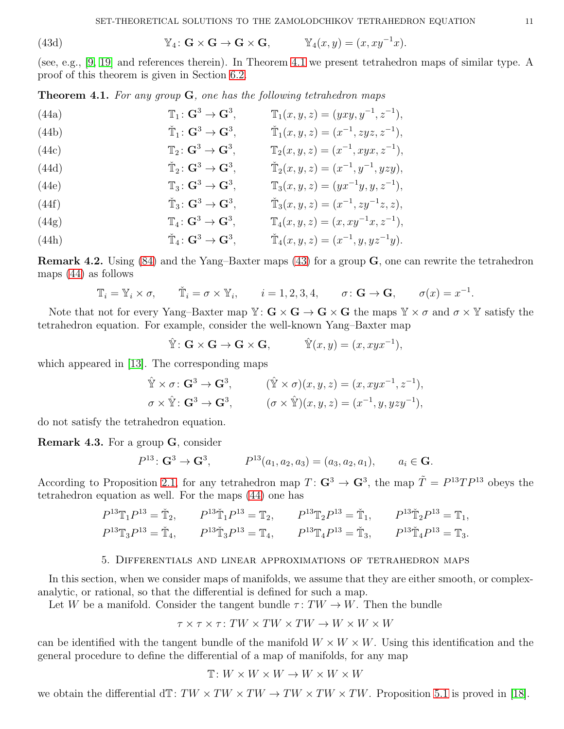<span id="page-10-1"></span>SET-THEORETICAL SOLUTIONS TO THE ZAMOLODCHIKOV TETRAHEDRON EQUATION 11

(43d) 
$$
\mathbb{Y}_4: \mathbf{G} \times \mathbf{G} \to \mathbf{G} \times \mathbf{G}, \qquad \mathbb{Y}_4(x, y) = (x, xy^{-1}x).
$$

(see, e.g., [\[9,](#page-19-19) [19\]](#page-19-20) and references therein). In Theorem [4.1](#page-10-2) we present tetrahedron maps of similar type. A proof of this theorem is given in Section [6.2.](#page-17-3)

<span id="page-10-2"></span>**Theorem 4.1.** For any group  $\bf{G}$ , one has the following tetrahedron maps

<span id="page-10-3"></span>(44a)  
\n
$$
\begin{array}{ll}\n\mathbb{T}_1: \mathbf{G}^3 \to \mathbf{G}^3, & \mathbb{T}_1(x, y, z) = (yxy, y^{-1}, z^{-1}), \\
\mathbb{T}_1: \mathbf{G}^3 \to \mathbf{G}^3, & \mathbb{T}_1(x, y, z) = (x^{-1}, zyz, z^{-1}), \\
\mathbb{T}_2: \mathbf{G}^3 \to \mathbf{G}^3, & \mathbb{T}_2(x, y, z) = (x^{-1}, xyx, z^{-1}), \\
\mathbb{T}_2: \mathbf{G}^3 \to \mathbf{G}^3, & \mathbb{T}_2(x, y, z) = (x^{-1}, xyx, z^{-1}), \\
\mathbb{T}_3: \mathbf{G}^3 \to \mathbf{G}^3, & \mathbb{T}_3(x, y, z) = (y x^{-1}y, y, z^{-1}), \\
\mathbb{T}_4: \mathbf{G}^3 \to \mathbf{G}^3, & \mathbb{T}_3(x, y, z) = (x^{-1}, zy^{-1}z, z), \\
\mathbb{T}_4: \mathbf{G}^3 \to \mathbf{G}^3, & \mathbb{T}_4(x, y, z) = (x, xy^{-1}x, z^{-1}), \\
\mathbb{T}_4: \mathbf{G}^3 \to \mathbf{G}^3, & \mathbb{T}_4(x, y, z) = (x^{-1}, y, yz^{-1}y).\n\end{array}
$$

<span id="page-10-4"></span>Remark 4.2. Using [\(84\)](#page-17-4) and the Yang–Baxter maps [\(43\)](#page-9-6) for a group G, one can rewrite the tetrahedron maps [\(44\)](#page-10-1) as follows

$$
\mathbb{T}_i = \mathbb{Y}_i \times \sigma, \qquad \check{\mathbb{T}}_i = \sigma \times \mathbb{Y}_i, \qquad i = 1, 2, 3, 4, \qquad \sigma \colon \mathbf{G} \to \mathbf{G}, \qquad \sigma(x) = x^{-1}.
$$

Note that not for every Yang–Baxter map  $\mathbb{Y}: \mathbf{G} \times \mathbf{G} \to \mathbf{G} \times \mathbf{G}$  the maps  $\mathbb{Y} \times \sigma$  and  $\sigma \times \mathbb{Y}$  satisfy the tetrahedron equation. For example, consider the well-known Yang–Baxter map

$$
\hat{\mathbb{Y}} \colon \mathbf{G} \times \mathbf{G} \to \mathbf{G} \times \mathbf{G}, \qquad \hat{\mathbb{Y}}(x, y) = (x, xyx^{-1}),
$$

which appeared in [\[13\]](#page-19-12). The corresponding maps

$$
\hat{\mathbb{Y}} \times \sigma \colon \mathbf{G}^3 \to \mathbf{G}^3, \qquad (\hat{\mathbb{Y}} \times \sigma)(x, y, z) = (x, xyx^{-1}, z^{-1}),
$$
  
\n
$$
\sigma \times \hat{\mathbb{Y}} \colon \mathbf{G}^3 \to \mathbf{G}^3, \qquad (\sigma \times \hat{\mathbb{Y}})(x, y, z) = (x^{-1}, y, yzy^{-1}),
$$

do not satisfy the tetrahedron equation.

Remark 4.3. For a group G, consider

$$
P^{13}: \mathbf{G}^3 \to \mathbf{G}^3
$$
,  $P^{13}(a_1, a_2, a_3) = (a_3, a_2, a_1)$ ,  $a_i \in \mathbf{G}$ .

According to Proposition [2.1,](#page-2-4) for any tetrahedron map  $T: G^3 \to G^3$ , the map  $\tilde{T} = P^{13}TP^{13}$  obeys the tetrahedron equation as well. For the maps [\(44\)](#page-10-1) one has

$$
P^{13}\mathbb{T}_1 P^{13} = \tilde{\mathbb{T}}_2, \qquad P^{13}\tilde{\mathbb{T}}_1 P^{13} = \mathbb{T}_2, \qquad P^{13}\mathbb{T}_2 P^{13} = \tilde{\mathbb{T}}_1, \qquad P^{13}\tilde{\mathbb{T}}_2 P^{13} = \mathbb{T}_1,
$$
  

$$
P^{13}\mathbb{T}_3 P^{13} = \tilde{\mathbb{T}}_4, \qquad P^{13}\tilde{\mathbb{T}}_3 P^{13} = \mathbb{T}_4, \qquad P^{13}\mathbb{T}_4 P^{13} = \tilde{\mathbb{T}}_3, \qquad P^{13}\tilde{\mathbb{T}}_4 P^{13} = \mathbb{T}_3.
$$

### 5. Differentials and linear approximations of tetrahedron maps

<span id="page-10-0"></span>In this section, when we consider maps of manifolds, we assume that they are either smooth, or complexanalytic, or rational, so that the differential is defined for such a map.

Let W be a manifold. Consider the tangent bundle  $\tau: TW \to W$ . Then the bundle

 $\tau \times \tau \times \tau$ : TW  $\times TW \times TW \to W \times W \times W$ 

can be identified with the tangent bundle of the manifold  $W \times W \times W$ . Using this identification and the general procedure to define the differential of a map of manifolds, for any map

$$
\mathbb{T}\colon W\times W\times W\to W\times W\times W
$$

we obtain the differential  $d\mathbb{T}$ :  $TW \times TW \times TW \rightarrow TW \times TW \times TW$ . Proposition [5.1](#page-11-0) is proved in [\[18\]](#page-19-25).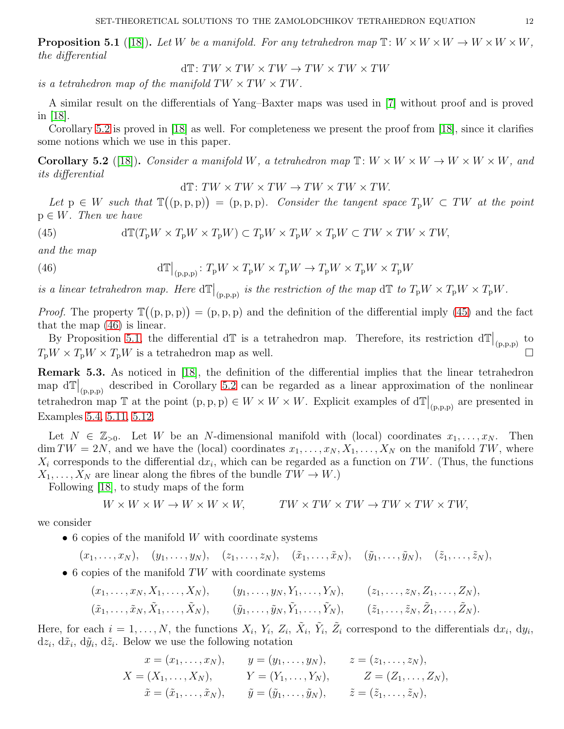<span id="page-11-0"></span>**Proposition 5.1** ([\[18\]](#page-19-25)). Let W be a manifold. For any tetrahedron map  $\mathbb{T}: W \times W \times W \rightarrow W \times W \times W$ , the differential

 $dT: TW \times TW \times TW \rightarrow TW \times TW \times TW$ 

is a tetrahedron map of the manifold  $TW \times TW \times TW$ .

A similar result on the differentials of Yang–Baxter maps was used in [\[7\]](#page-19-26) without proof and is proved in [\[18\]](#page-19-25).

Corollary [5.2](#page-11-1) is proved in [\[18\]](#page-19-25) as well. For completeness we present the proof from [\[18\]](#page-19-25), since it clarifies some notions which we use in this paper.

<span id="page-11-1"></span>**Corollary 5.2** ([\[18\]](#page-19-25)). Consider a manifold W, a tetrahedron map  $\mathbb{T}: W \times W \times W \rightarrow W \times W \times W$ , and its differential

$$
d\mathbb{T}: TW \times TW \times TW \to TW \times TW \times TW.
$$

Let  $p \in W$  such that  $\mathbb{T}((p, p, p)) = (p, p, p)$ . Consider the tangent space  $T_p W \subset TW$  at the point  $p \in W$ . Then we have

<span id="page-11-2"></span>(45) 
$$
d\mathbb{T}(T_{p}W \times T_{p}W \times T_{p}W) \subset T_{p}W \times T_{p}W \times T_{p}W \subset TW \times TW \times TW,
$$

and the map

<span id="page-11-3"></span>(46) 
$$
\mathrm{d}\mathbb{T}\big|_{(\mathrm{p},\mathrm{p},\mathrm{p})}: T_{\mathrm{p}}W \times T_{\mathrm{p}}W \times T_{\mathrm{p}}W \to T_{\mathrm{p}}W \times T_{\mathrm{p}}W \times T_{\mathrm{p}}W
$$

is a linear tetrahedron map. Here  $d\mathbb{T}|_{(p,p,p)}$  is the restriction of the map  $d\mathbb{T}$  to  $T_pW \times T_pW \times T_pW$ .

*Proof.* The property  $\mathbb{T}((p, p, p)) = (p, p, p)$  and the definition of the differential imply [\(45\)](#page-11-2) and the fact that the map [\(46\)](#page-11-3) is linear.

By Proposition [5.1,](#page-11-0) the differential  $d\mathbb{T}$  is a tetrahedron map. Therefore, its restriction  $d\mathbb{T}|_{(p,p,p)}$  to  $T_{\rm p}W \times T_{\rm p}W \times T_{\rm p}W$  is a tetrahedron map as well.

Remark 5.3. As noticed in [\[18\]](#page-19-25), the definition of the differential implies that the linear tetrahedron map  $d\mathbb{T}|_{(p,p,p)}$  described in Corollary [5.2](#page-11-1) can be regarded as a linear approximation of the nonlinear tetrahedron map  $\mathbb T$  at the point  $(p, p, p) \in W \times W \times W$ . Explicit examples of  $d\mathbb T|_{(p,p,p)}$  are presented in Examples [5.4,](#page-12-0) [5.11,](#page-14-1) [5.12.](#page-15-0)

Let  $N \in \mathbb{Z}_{>0}$ . Let W be an N-dimensional manifold with (local) coordinates  $x_1, \ldots, x_N$ . Then  $\dim TW = 2N$ , and we have the (local) coordinates  $x_1, \ldots, x_N, X_1, \ldots, X_N$  on the manifold TW, where  $X_i$  corresponds to the differential  $dx_i$ , which can be regarded as a function on TW. (Thus, the functions  $X_1, \ldots, X_N$  are linear along the fibres of the bundle  $TW \to W$ .)

Following [\[18\]](#page-19-25), to study maps of the form

$$
W \times W \times W \to W \times W \times W, \qquad TW \times TW \times TW \to TW \times TW \times TW,
$$

we consider

 $\bullet$  6 copies of the manifold W with coordinate systems

 $(x_1, \ldots, x_N), (y_1, \ldots, y_N), (z_1, \ldots, z_N), (\tilde{x}_1, \ldots, \tilde{x}_N), (\tilde{y}_1, \ldots, \tilde{y}_N), (\tilde{z}_1, \ldots, \tilde{z}_N),$ 

 $\bullet$  6 copies of the manifold TW with coordinate systems

$$
(x_1,...,x_N, X_1,...,X_N),
$$
  $(y_1,...,y_N, Y_1,...,Y_N),$   $(z_1,...,z_N, Z_1,...,Z_N),$   
 $(\tilde{x}_1,..., \tilde{x}_N, \tilde{X}_1,..., \tilde{X}_N),$   $(\tilde{y}_1,..., \tilde{y}_N, \tilde{Y}_1,..., \tilde{Y}_N),$   $(\tilde{z}_1,..., \tilde{z}_N, \tilde{Z}_1,..., \tilde{Z}_N).$ 

Here, for each  $i = 1, \ldots, N$ , the functions  $X_i$ ,  $Y_i$ ,  $Z_i$ ,  $\tilde{X}_i$ ,  $\tilde{Y}_i$ ,  $\tilde{Z}_i$  correspond to the differentials  $dx_i$ ,  $dy_i$ ,  $dz_i, d\tilde{x}_i, d\tilde{y}_i, d\tilde{z}_i$ . Below we use the following notation

$$
x = (x_1, ..., x_N),
$$
  $y = (y_1, ..., y_N),$   $z = (z_1, ..., z_N),$   
\n $X = (X_1, ..., X_N),$   $Y = (Y_1, ..., Y_N),$   $Z = (Z_1, ..., Z_N),$   
\n $\tilde{x} = (\tilde{x}_1, ..., \tilde{x}_N),$   $\tilde{y} = (\tilde{y}_1, ..., \tilde{y}_N),$   $\tilde{z} = (\tilde{z}_1, ..., \tilde{z}_N),$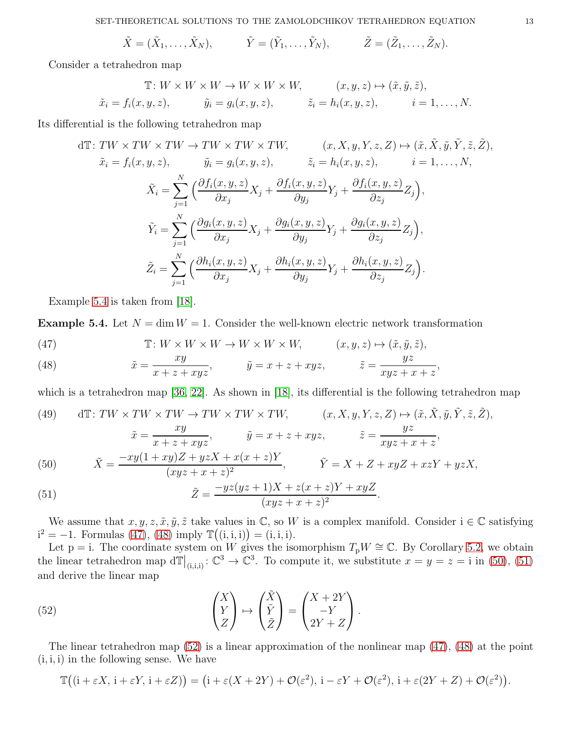$$
\tilde{X} = (\tilde{X}_1, \ldots, \tilde{X}_N),
$$
  $\tilde{Y} = (\tilde{Y}_1, \ldots, \tilde{Y}_N),$   $\tilde{Z} = (\tilde{Z}_1, \ldots, \tilde{Z}_N).$ 

Consider a tetrahedron map

$$
\mathbb{T}: W \times W \times W \to W \times W, \qquad (x, y, z) \mapsto (\tilde{x}, \tilde{y}, \tilde{z}),
$$
  

$$
\tilde{x}_i = f_i(x, y, z), \qquad \tilde{y}_i = g_i(x, y, z), \qquad \tilde{z}_i = h_i(x, y, z), \qquad i = 1, ..., N.
$$

Its differential is the following tetrahedron map

$$
d\mathbb{T}: TW \times TW \times TW \to TW \times TW \times TW, \qquad (x, X, y, Y, z, Z) \mapsto (\tilde{x}, \tilde{X}, \tilde{y}, \tilde{Y}, \tilde{z}, \tilde{Z}),
$$
  
\n
$$
\tilde{x}_i = f_i(x, y, z), \qquad \tilde{y}_i = g_i(x, y, z), \qquad \tilde{z}_i = h_i(x, y, z), \qquad i = 1, ..., N,
$$
  
\n
$$
\tilde{X}_i = \sum_{j=1}^N \left( \frac{\partial f_i(x, y, z)}{\partial x_j} X_j + \frac{\partial f_i(x, y, z)}{\partial y_j} Y_j + \frac{\partial f_i(x, y, z)}{\partial z_j} Z_j \right),
$$
  
\n
$$
\tilde{Y}_i = \sum_{j=1}^N \left( \frac{\partial g_i(x, y, z)}{\partial x_j} X_j + \frac{\partial g_i(x, y, z)}{\partial y_j} Y_j + \frac{\partial g_i(x, y, z)}{\partial z_j} Z_j \right),
$$
  
\n
$$
\tilde{Z}_i = \sum_{j=1}^N \left( \frac{\partial h_i(x, y, z)}{\partial x_j} X_j + \frac{\partial h_i(x, y, z)}{\partial y_j} Y_j + \frac{\partial h_i(x, y, z)}{\partial z_j} Z_j \right).
$$

Example [5.4](#page-12-0) is taken from [\[18\]](#page-19-25).

<span id="page-12-0"></span>**Example 5.4.** Let  $N = \dim W = 1$ . Consider the well-known electric network transformation

<span id="page-12-1"></span>(47) 
$$
\mathbb{T}: W \times W \times W \to W \times W \times W, \qquad (x, y, z) \mapsto (\tilde{x}, \tilde{y}, \tilde{z}),
$$

<span id="page-12-2"></span>(48) 
$$
\tilde{x} = \frac{xy}{x + z + xyz}, \qquad \tilde{y} = x + z + xyz, \qquad \tilde{z} = \frac{yz}{xyz + x + z},
$$

which is a tetrahedron map [\[36,](#page-20-0) [22\]](#page-19-10). As shown in [\[18\]](#page-19-25), its differential is the following tetrahedron map

<span id="page-12-3"></span>(49) dT: TW × TW × TW × TW × TW × TW, 
$$
(x, X, y, Y, z, Z) \mapsto (\tilde{x}, \tilde{X}, \tilde{y}, \tilde{Y}, \tilde{z}, \tilde{Z}),
$$
  
\n
$$
\tilde{x} = \frac{xy}{x + z + xyz}, \qquad \tilde{y} = x + z + xyz, \qquad \tilde{z} = \frac{yz}{xyz + x + z},
$$
\n(50) 
$$
\tilde{X} = \frac{-xy(1 + xy)Z + yzX + x(x + z)Y}{(xyz + x + z)^2}, \qquad \tilde{Y} = X + Z + xyZ + xzY + yzX,
$$
\n(51) 
$$
\tilde{Z} = \frac{-yz(yz + 1)X + z(x + z)Y + xyZ}{(xyz + x + z)^2}.
$$

<span id="page-12-4"></span>We assume that  $x, y, z, \tilde{x}, \tilde{y}, \tilde{z}$  take values in  $\mathbb{C}$ , so W is a complex manifold. Consider  $i \in \mathbb{C}$  satisfying  $i^2 = -1$ . Formulas [\(47\)](#page-12-1), [\(48\)](#page-12-2) imply  $\mathbb{T}((i, i, i)) = (i, i, i)$ .

Let p = i. The coordinate system on W gives the isomorphism  $T_pW \cong \mathbb{C}$ . By Corollary [5.2,](#page-11-1) we obtain the linear tetrahedron map  $d\mathbb{T}|_{(i,i,i)} \colon \mathbb{C}^3 \to \mathbb{C}^3$ . To compute it, we substitute  $x = y = z = i$  in [\(50\)](#page-12-3), [\(51\)](#page-12-4) and derive the linear map

<span id="page-12-5"></span>(52) 
$$
\begin{pmatrix} X \ Y \ Z \end{pmatrix} \mapsto \begin{pmatrix} \tilde{X} \\ \tilde{Y} \\ \tilde{Z} \end{pmatrix} = \begin{pmatrix} X + 2Y \\ -Y \\ 2Y + Z \end{pmatrix}.
$$

The linear tetrahedron map  $(52)$  is a linear approximation of the nonlinear map  $(47)$ ,  $(48)$  at the point  $(i, i, i)$  in the following sense. We have

$$
\mathbb{T}((i+\varepsilon X, i+\varepsilon Y, i+\varepsilon Z)) = (i+\varepsilon (X+2Y)+\mathcal{O}(\varepsilon^2), i-\varepsilon Y+\mathcal{O}(\varepsilon^2), i+\varepsilon (2Y+Z)+\mathcal{O}(\varepsilon^2)).
$$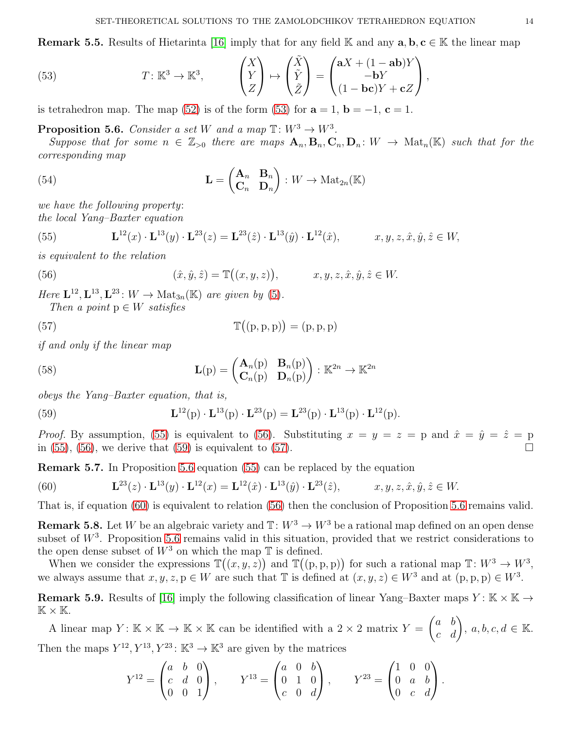**Remark 5.5.** Results of Hietarinta [\[16\]](#page-19-4) imply that for any field K and any  $a, b, c \in K$  the linear map

<span id="page-13-0"></span>(53) 
$$
T: \mathbb{K}^{3} \to \mathbb{K}^{3}, \qquad \begin{pmatrix} X \\ Y \\ Z \end{pmatrix} \mapsto \begin{pmatrix} \tilde{X} \\ \tilde{Y} \\ \tilde{Z} \end{pmatrix} = \begin{pmatrix} aX + (1 - ab)Y \\ -bY \\ (1 - bc)Y + cZ \end{pmatrix},
$$

is tetrahedron map. The map [\(52\)](#page-12-5) is of the form [\(53\)](#page-13-0) for  $\mathbf{a} = 1$ ,  $\mathbf{b} = -1$ ,  $\mathbf{c} = 1$ .

# <span id="page-13-5"></span>**Proposition 5.6.** Consider a set W and a map  $\mathbb{T}: W^3 \to W^3$ .

Suppose that for some  $n \in \mathbb{Z}_{>0}$  there are maps  $\mathbf{A}_n, \mathbf{B}_n, \mathbf{C}_n, \mathbf{D}_n : W \to \text{Mat}_n(\mathbb{K})$  such that for the corresponding map

<span id="page-13-7"></span>(54) 
$$
\mathbf{L} = \begin{pmatrix} \mathbf{A}_n & \mathbf{B}_n \\ \mathbf{C}_n & \mathbf{D}_n \end{pmatrix} : W \to \text{Mat}_{2n}(\mathbb{K})
$$

we have the following property: the local Yang–Baxter equation

<span id="page-13-1"></span>(55) 
$$
\mathbf{L}^{12}(x) \cdot \mathbf{L}^{13}(y) \cdot \mathbf{L}^{23}(z) = \mathbf{L}^{23}(\hat{z}) \cdot \mathbf{L}^{13}(\hat{y}) \cdot \mathbf{L}^{12}(\hat{x}), \qquad x, y, z, \hat{x}, \hat{y}, \hat{z} \in W,
$$

is equivalent to the relation

<span id="page-13-2"></span>(56) 
$$
(\hat{x}, \hat{y}, \hat{z}) = \mathbb{T}((x, y, z)), \qquad x, y, z, \hat{x}, \hat{y}, \hat{z} \in W.
$$

Here  $\mathbf{L}^{12}, \mathbf{L}^{13}, \mathbf{L}^{23} : W \to \text{Mat}_{3n}(\mathbb{K})$  are given by [\(5\)](#page-3-1).

Then a point  $p \in W$  satisfies

<span id="page-13-4"></span>(57) 
$$
\mathbb{T}((p,p,p)) = (p,p,p)
$$

if and only if the linear map

(58) 
$$
\mathbf{L}(\mathbf{p}) = \begin{pmatrix} \mathbf{A}_n(\mathbf{p}) & \mathbf{B}_n(\mathbf{p}) \\ \mathbf{C}_n(\mathbf{p}) & \mathbf{D}_n(\mathbf{p}) \end{pmatrix} : \mathbb{K}^{2n} \to \mathbb{K}^{2n}
$$

obeys the Yang–Baxter equation, that is,

<span id="page-13-3"></span>(59) 
$$
\mathbf{L}^{12}(p) \cdot \mathbf{L}^{13}(p) \cdot \mathbf{L}^{23}(p) = \mathbf{L}^{23}(p) \cdot \mathbf{L}^{13}(p) \cdot \mathbf{L}^{12}(p).
$$

*Proof.* By assumption, [\(55\)](#page-13-1) is equivalent to [\(56\)](#page-13-2). Substituting  $x = y = z = p$  and  $\hat{x} = \hat{y} = \hat{z} = p$ in  $(55)$ ,  $(56)$ , we derive that  $(59)$  is equivalent to  $(57)$ .

<span id="page-13-10"></span>Remark 5.7. In Proposition [5.6](#page-13-5) equation [\(55\)](#page-13-1) can be replaced by the equation

<span id="page-13-6"></span>(60) 
$$
\mathbf{L}^{23}(z) \cdot \mathbf{L}^{13}(y) \cdot \mathbf{L}^{12}(x) = \mathbf{L}^{12}(\hat{x}) \cdot \mathbf{L}^{13}(\hat{y}) \cdot \mathbf{L}^{23}(\hat{z}), \qquad x, y, z, \hat{x}, \hat{y}, \hat{z} \in W.
$$

That is, if equation [\(60\)](#page-13-6) is equivalent to relation [\(56\)](#page-13-2) then the conclusion of Proposition [5.6](#page-13-5) remains valid.

<span id="page-13-8"></span>**Remark 5.8.** Let W be an algebraic variety and  $\mathbb{T}: W^3 \to W^3$  be a rational map defined on an open dense subset of  $W^3$ . Proposition [5.6](#page-13-5) remains valid in this situation, provided that we restrict considerations to the open dense subset of  $W^3$  on which the map  $\mathbb T$  is defined.

When we consider the expressions  $\mathbb{T}((x, y, z))$  and  $\mathbb{T}((p, p, p))$  for such a rational map  $\mathbb{T}: W^3 \to W^3$ , we always assume that  $x, y, z, p \in W$  are such that  $\mathbb T$  is defined at  $(x, y, z) \in W^3$  and at  $(p, p, p) \in W^3$ .

<span id="page-13-9"></span>**Remark 5.9.** Results of [\[16\]](#page-19-4) imply the following classification of linear Yang–Baxter maps  $Y: \mathbb{K} \times \mathbb{K} \to$  $\mathbb{K}\times\mathbb{K}.$ 

A linear map  $Y: \mathbb{K} \times \mathbb{K} \to \mathbb{K} \times \mathbb{K}$  can be identified with a  $2 \times 2$  matrix  $Y = \begin{pmatrix} a & b \\ c & d \end{pmatrix}$ ,  $a, b, c, d \in \mathbb{K}$ . Then the maps  $Y^{12}, Y^{13}, Y^{23} \colon \mathbb{K}^3 \to \mathbb{K}^3$  are given by the matrices

$$
Y^{12} = \begin{pmatrix} a & b & 0 \\ c & d & 0 \\ 0 & 0 & 1 \end{pmatrix}, \qquad Y^{13} = \begin{pmatrix} a & 0 & b \\ 0 & 1 & 0 \\ c & 0 & d \end{pmatrix}, \qquad Y^{23} = \begin{pmatrix} 1 & 0 & 0 \\ 0 & a & b \\ 0 & c & d \end{pmatrix}.
$$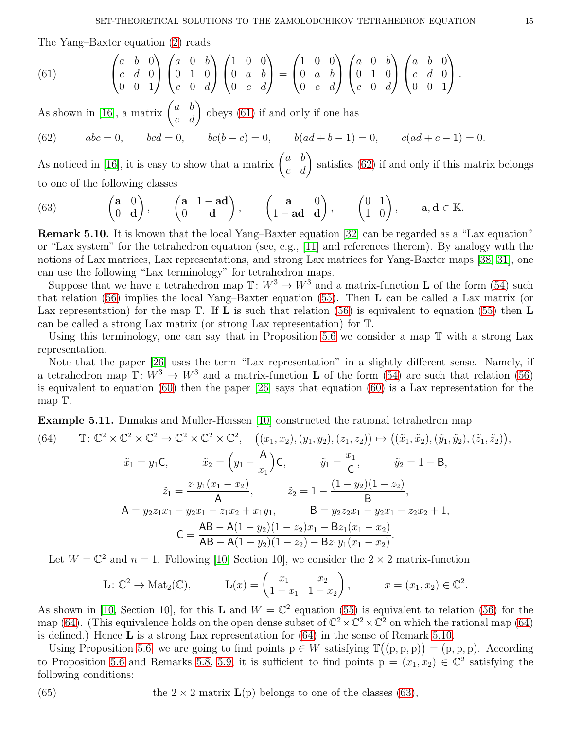The Yang–Baxter equation [\(2\)](#page-2-1) reads

<span id="page-14-2"></span>(61) 
$$
\begin{pmatrix} a & b & 0 \\ c & d & 0 \\ 0 & 0 & 1 \end{pmatrix} \begin{pmatrix} a & 0 & b \\ 0 & 1 & 0 \\ c & 0 & d \end{pmatrix} \begin{pmatrix} 1 & 0 & 0 \\ 0 & a & b \\ 0 & c & d \end{pmatrix} = \begin{pmatrix} 1 & 0 & 0 \\ 0 & a & b \\ 0 & c & d \end{pmatrix} \begin{pmatrix} a & 0 & b \\ 0 & 1 & 0 \\ c & 0 & d \end{pmatrix} \begin{pmatrix} a & b & 0 \\ c & d & 0 \\ 0 & 0 & 1 \end{pmatrix}.
$$

As shown in [\[16\]](#page-19-4), a matrix  $\begin{pmatrix} a & b \\ c & d \end{pmatrix}$  obeys [\(61\)](#page-14-2) if and only if one has

<span id="page-14-3"></span>(62) 
$$
abc = 0
$$
,  $bcd = 0$ ,  $bc(b - c) = 0$ ,  $b(ad + b - 1) = 0$ ,  $c(ad + c - 1) = 0$ .

As noticed in [\[16\]](#page-19-4), it is easy to show that a matrix  $\begin{pmatrix} a & b \\ c & d \end{pmatrix}$  satisfies [\(62\)](#page-14-3) if and only if this matrix belongs to one of the following classes

<span id="page-14-5"></span>(63) 
$$
\begin{pmatrix} \mathbf{a} & 0 \\ 0 & \mathbf{d} \end{pmatrix}
$$
,  $\begin{pmatrix} \mathbf{a} & 1 - \mathbf{ad} \\ 0 & \mathbf{d} \end{pmatrix}$ ,  $\begin{pmatrix} \mathbf{a} & 0 \\ 1 - \mathbf{ad} & \mathbf{d} \end{pmatrix}$ ,  $\begin{pmatrix} 0 & 1 \\ 1 & 0 \end{pmatrix}$ ,  $\mathbf{a}, \mathbf{d} \in \mathbb{K}$ .

<span id="page-14-0"></span>Remark 5.10. It is known that the local Yang–Baxter equation [\[32\]](#page-20-4) can be regarded as a "Lax equation" or "Lax system" for the tetrahedron equation (see, e.g., [\[11\]](#page-19-3) and references therein). By analogy with the notions of Lax matrices, Lax representations, and strong Lax matrices for Yang-Baxter maps [\[38,](#page-20-12) [31\]](#page-20-9), one can use the following "Lax terminology" for tetrahedron maps.

Suppose that we have a tetrahedron map  $\mathbb{T}: W^3 \to W^3$  and a matrix-function **L** of the form [\(54\)](#page-13-7) such that relation [\(56\)](#page-13-2) implies the local Yang–Baxter equation [\(55\)](#page-13-1). Then L can be called a Lax matrix (or Lax representation) for the map  $\mathbb{T}$ . If **L** is such that relation [\(56\)](#page-13-2) is equivalent to equation [\(55\)](#page-13-1) then **L** can be called a strong Lax matrix (or strong Lax representation) for T.

Using this terminology, one can say that in Proposition [5.6](#page-13-5) we consider a map  $\mathbb T$  with a strong Lax representation.

Note that the paper [\[26\]](#page-19-1) uses the term "Lax representation" in a slightly different sense. Namely, if a tetrahedron map  $\mathbb{T}: W^3 \to W^3$  and a matrix-function **L** of the form [\(54\)](#page-13-7) are such that relation [\(56\)](#page-13-2) is equivalent to equation [\(60\)](#page-13-6) then the paper [\[26\]](#page-19-1) says that equation [\(60\)](#page-13-6) is a Lax representation for the map T.

<span id="page-14-1"></span>**Example 5.11.** Dimakis and Müller-Hoissen [\[10\]](#page-19-0) constructed the rational tetrahedron map

<span id="page-14-4"></span>(64) 
$$
\mathbb{T}: \mathbb{C}^2 \times \mathbb{C}^2 \times \mathbb{C}^2 \to \mathbb{C}^2 \times \mathbb{C}^2 \times \mathbb{C}^2, \quad ((x_1, x_2), (y_1, y_2), (z_1, z_2)) \mapsto ((\tilde{x}_1, \tilde{x}_2), (\tilde{y}_1, \tilde{y}_2), (\tilde{z}_1, \tilde{z}_2)),
$$

$$
\tilde{x}_1 = y_1 \mathsf{C}, \qquad \tilde{x}_2 = \left(y_1 - \frac{\mathsf{A}}{x_1}\right) \mathsf{C}, \qquad \tilde{y}_1 = \frac{x_1}{\mathsf{C}}, \qquad \tilde{y}_2 = 1 - \mathsf{B},
$$

$$
\tilde{z}_1 = \frac{z_1 y_1 (x_1 - x_2)}{\mathsf{A}}, \qquad \tilde{z}_2 = 1 - \frac{(1 - y_2)(1 - z_2)}{\mathsf{B}},
$$

$$
\mathsf{A} = y_2 z_1 x_1 - y_2 x_1 - z_1 x_2 + x_1 y_1, \qquad \mathsf{B} = y_2 z_2 x_1 - y_2 x_1 - z_2 x_2 + 1,
$$

$$
\mathsf{C} = \frac{\mathsf{AB} - \mathsf{A}(1 - y_2)(1 - z_2)x_1 - \mathsf{B}z_1 (x_1 - x_2)}{\mathsf{AB} - \mathsf{A}(1 - y_2)(1 - z_2) - \mathsf{B}z_1 y_1 (x_1 - x_2)}.
$$

Let  $W = \mathbb{C}^2$  and  $n = 1$ . Following [\[10,](#page-19-0) Section 10], we consider the  $2 \times 2$  matrix-function

$$
\mathbf{L}: \mathbb{C}^2 \to \mathrm{Mat}_2(\mathbb{C}), \qquad \mathbf{L}(x) = \begin{pmatrix} x_1 & x_2 \\ 1 - x_1 & 1 - x_2 \end{pmatrix}, \qquad x = (x_1, x_2) \in \mathbb{C}^2.
$$

As shown in [\[10,](#page-19-0) Section 10], for this **L** and  $W = \mathbb{C}^2$  equation [\(55\)](#page-13-1) is equivalent to relation [\(56\)](#page-13-2) for the map [\(64\)](#page-14-4). (This equivalence holds on the open dense subset of  $\mathbb{C}^2 \times \mathbb{C}^2 \times \mathbb{C}^2$  on which the rational map (64) is defined.) Hence  $\bf{L}$  is a strong Lax representation for [\(64\)](#page-14-4) in the sense of Remark [5.10.](#page-14-0)

Using Proposition [5.6,](#page-13-5) we are going to find points  $p \in W$  satisfying  $\mathbb{T}((p, p, p)) = (p, p, p)$ . According to Proposition [5.6](#page-13-5) and Remarks [5.8,](#page-13-8) [5.9,](#page-13-9) it is sufficient to find points  $p = (x_1, x_2) \in \mathbb{C}^2$  satisfying the following conditions:

<span id="page-14-6"></span>(65) the  $2 \times 2$  matrix  $L(p)$  belongs to one of the classes [\(63\)](#page-14-5),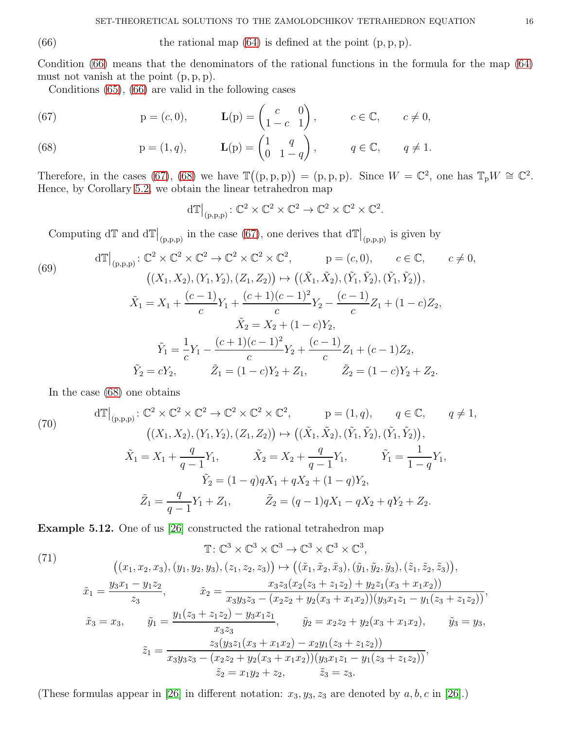<span id="page-15-2"></span>(66) the rational map  $(64)$  is defined at the point  $(p, p, p)$ .

Condition [\(66\)](#page-15-2) means that the denominators of the rational functions in the formula for the map [\(64\)](#page-14-4) must not vanish at the point (p, p, p).

Conditions [\(65\)](#page-14-6), [\(66\)](#page-15-2) are valid in the following cases

<span id="page-15-3"></span>(67) 
$$
p = (c, 0), \qquad L(p) = \begin{pmatrix} c & 0 \\ 1 - c & 1 \end{pmatrix}, \qquad c \in \mathbb{C}, \qquad c \neq 0,
$$

<span id="page-15-4"></span>(68) 
$$
p = (1, q), \qquad \mathbf{L}(p) = \begin{pmatrix} 1 & q \\ 0 & 1 - q \end{pmatrix}, \qquad q \in \mathbb{C}, \qquad q \neq 1.
$$

Therefore, in the cases [\(67\)](#page-15-3), [\(68\)](#page-15-4) we have  $\mathbb{T}((p, p, p)) = (p, p, p)$ . Since  $W = \mathbb{C}^2$ , one has  $\mathbb{T}_p W \cong \mathbb{C}^2$ . Hence, by Corollary [5.2,](#page-11-1) we obtain the linear tetrahedron map

$$
d\mathbb{T}\big|_{(p,p,p)}\colon \mathbb{C}^2\times\mathbb{C}^2\times\mathbb{C}^2\to\mathbb{C}^2\times\mathbb{C}^2\times\mathbb{C}^2.
$$

Computing  $d\mathbb{T}$  and  $d\mathbb{T}|_{(p,p,p)}$  in the case [\(67\)](#page-15-3), one derives that  $d\mathbb{T}|_{(p,p,p)}$  is given by

<span id="page-15-6"></span>(69)  
\n
$$
d\mathbb{T}\Big|_{(p,p,p)}: \mathbb{C}^2 \times \mathbb{C}^2 \times \mathbb{C}^2 \to \mathbb{C}^2 \times \mathbb{C}^2 \times \mathbb{C}^2, \qquad p = (c, 0), \qquad c \in \mathbb{C}, \qquad c \neq 0,
$$
\n
$$
((X_1, X_2), (Y_1, Y_2), (Z_1, Z_2)) \mapsto ((\tilde{X}_1, \tilde{X}_2), (\tilde{Y}_1, \tilde{Y}_2), (\tilde{Y}_1, \tilde{Y}_2)),
$$
\n
$$
\tilde{X}_1 = X_1 + \frac{(c-1)}{c} Y_1 + \frac{(c+1)(c-1)^2}{c} Y_2 - \frac{(c-1)}{c} Z_1 + (1-c) Z_2,
$$
\n
$$
\tilde{X}_2 = X_2 + (1-c) Y_2,
$$
\n
$$
\tilde{Y}_1 = \frac{1}{c} Y_1 - \frac{(c+1)(c-1)^2}{c} Y_2 + \frac{(c-1)}{c} Z_1 + (c-1) Z_2,
$$
\n
$$
\tilde{Y}_2 = c Y_2, \qquad \tilde{Z}_1 = (1-c) Y_2 + Z_1, \qquad \tilde{Z}_2 = (1-c) Y_2 + Z_2.
$$

In the case [\(68\)](#page-15-4) one obtains

<span id="page-15-1"></span>(70)  
\n
$$
d\mathbb{T}\Big|_{(p,p,p)} : \mathbb{C}^2 \times \mathbb{C}^2 \times \mathbb{C}^2 \to \mathbb{C}^2 \times \mathbb{C}^2 \times \mathbb{C}^2, \qquad p = (1, q), \qquad q \in \mathbb{C}, \qquad q \neq 1,
$$
\n
$$
((X_1, X_2), (Y_1, Y_2), (Z_1, Z_2)) \mapsto ((\tilde{X}_1, \tilde{X}_2), (\tilde{Y}_1, \tilde{Y}_2), (\tilde{Y}_1, \tilde{Y}_2)),
$$
\n
$$
\tilde{X}_1 = X_1 + \frac{q}{q-1} Y_1, \qquad \tilde{X}_2 = X_2 + \frac{q}{q-1} Y_1, \qquad \tilde{Y}_1 = \frac{1}{1-q} Y_1,
$$
\n
$$
\tilde{Y}_2 = (1-q)qX_1 + qX_2 + (1-q)Y_2,
$$
\n
$$
\tilde{Z}_1 = \frac{q}{q-1} Y_1 + Z_1, \qquad \tilde{Z}_2 = (q-1)qX_1 - qX_2 + qY_2 + Z_2.
$$

<span id="page-15-0"></span>Example 5.12. One of us [\[26\]](#page-19-1) constructed the rational tetrahedron map

<span id="page-15-5"></span>(71)  
\n
$$
\mathbb{T}: \mathbb{C}^3 \times \mathbb{C}^3 \times \mathbb{C}^3 \times \mathbb{C}^3 \times \mathbb{C}^3
$$
\n
$$
((x_1, x_2, x_3), (y_1, y_2, y_3), (z_1, z_2, z_3)) \mapsto ((\tilde{x}_1, \tilde{x}_2, \tilde{x}_3), (\tilde{y}_1, \tilde{y}_2, \tilde{y}_3), (\tilde{z}_1, \tilde{z}_2, \tilde{z}_3)),
$$
\n
$$
\tilde{x}_1 = \frac{y_3 x_1 - y_1 z_2}{z_3}, \qquad \tilde{x}_2 = \frac{x_3 z_3 (x_2 (z_3 + z_1 z_2) + y_2 z_1 (x_3 + x_1 x_2))}{x_3 y_3 z_3 - (x_2 z_2 + y_2 (x_3 + x_1 x_2)) (y_3 x_1 z_1 - y_1 (z_3 + z_1 z_2))},
$$
\n
$$
\tilde{x}_3 = x_3, \qquad \tilde{y}_1 = \frac{y_1 (z_3 + z_1 z_2) - y_3 x_1 z_1}{x_3 z_3}, \qquad \tilde{y}_2 = x_2 z_2 + y_2 (x_3 + x_1 x_2), \qquad \tilde{y}_3 = y_3,
$$
\n
$$
\tilde{z}_1 = \frac{z_3 (y_3 z_1 (x_3 + x_1 x_2) - x_2 y_1 (z_3 + z_1 z_2))}{x_3 y_3 z_3 - (x_2 z_2 + y_2 (x_3 + x_1 x_2)) (y_3 x_1 z_1 - y_1 (z_3 + z_1 z_2))},
$$
\n
$$
\tilde{z}_2 = x_1 y_2 + z_2, \qquad \tilde{z}_3 = z_3.
$$

(These formulas appear in [\[26\]](#page-19-1) in different notation:  $x_3, y_3, z_3$  are denoted by  $a, b, c$  in [26].)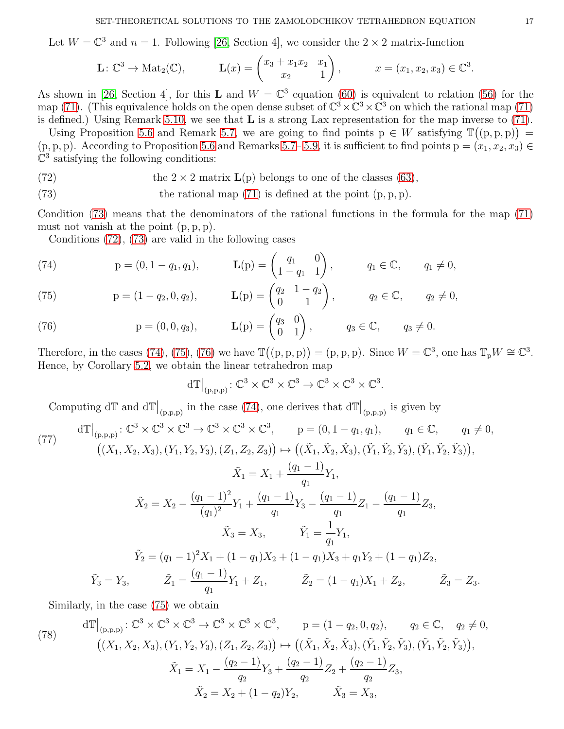Let  $W = \mathbb{C}^3$  and  $n = 1$ . Following [\[26,](#page-19-1) Section 4], we consider the  $2 \times 2$  matrix-function

$$
\mathbf{L}: \mathbb{C}^3 \to \text{Mat}_2(\mathbb{C}), \qquad \mathbf{L}(x) = \begin{pmatrix} x_3 + x_1 x_2 & x_1 \\ x_2 & 1 \end{pmatrix}, \qquad x = (x_1, x_2, x_3) \in \mathbb{C}^3
$$

As shown in [\[26,](#page-19-1) Section 4], for this **L** and  $W = \mathbb{C}^3$  equation [\(60\)](#page-13-6) is equivalent to relation [\(56\)](#page-13-2) for the map [\(71\)](#page-15-5). (This equivalence holds on the open dense subset of  $\mathbb{C}^3 \times \mathbb{C}^3 \times \mathbb{C}^3$  on which the rational map (71) is defined.) Using Remark [5.10,](#page-14-0) we see that  $L$  is a strong Lax representation for the map inverse to  $(71)$ .

Using Proposition [5.6](#page-13-5) and Remark [5.7,](#page-13-10) we are going to find points  $p \in W$  satisfying  $\mathbb{T}((p, p, p)) =$  $(p, p, p)$ . According to Proposition [5.6](#page-13-5) and Remarks [5.7–](#page-13-10)5.9, it is sufficient to find points  $p = (x_1, x_2, x_3) \in$  $\mathbb{C}^3$  satisfying the following conditions:

- <span id="page-16-3"></span>(72) the  $2 \times 2$  matrix  $L(p)$  belongs to one of the classes [\(63\)](#page-14-5),
- <span id="page-16-2"></span>(73) the rational map  $(71)$  is defined at the point  $(p, p, p)$ .

Condition [\(73\)](#page-16-2) means that the denominators of the rational functions in the formula for the map [\(71\)](#page-15-5) must not vanish at the point (p, p, p).

Conditions [\(72\)](#page-16-3), [\(73\)](#page-16-2) are valid in the following cases

<span id="page-16-4"></span>(74) 
$$
p = (0, 1 - q_1, q_1),
$$
  $\mathbf{L}(p) = \begin{pmatrix} q_1 & 0 \\ 1 - q_1 & 1 \end{pmatrix}, \qquad q_1 \in \mathbb{C}, \qquad q_1 \neq 0,$ 

<span id="page-16-5"></span>(75) 
$$
p = (1 - q_2, 0, q_2), \qquad L(p) = \begin{pmatrix} q_2 & 1 - q_2 \\ 0 & 1 \end{pmatrix}, \qquad q_2 \in \mathbb{C}, \qquad q_2 \neq 0,
$$

<span id="page-16-6"></span>(76) 
$$
p = (0, 0, q_3),
$$
  $\mathbf{L}(p) = \begin{pmatrix} q_3 & 0 \\ 0 & 1 \end{pmatrix}, \quad q_3 \in \mathbb{C}, \quad q_3 \neq 0.$ 

Therefore, in the cases [\(74\)](#page-16-4), [\(75\)](#page-16-5), [\(76\)](#page-16-6) we have  $\mathbb{T}((p, p, p)) = (p, p, p)$ . Since  $W = \mathbb{C}^3$ , one has  $\mathbb{T}_p W \cong \mathbb{C}^3$ . Hence, by Corollary [5.2,](#page-11-1) we obtain the linear tetrahedron map

$$
d\mathbb{T}\big|_{(p,p,p)}\colon \mathbb{C}^3\times \mathbb{C}^3\times \mathbb{C}^3\to \mathbb{C}^3\times \mathbb{C}^3\times \mathbb{C}^3.
$$

Computing  $d\mathbb{T}$  and  $d\mathbb{T}|_{(p,p,p)}$  in the case [\(74\)](#page-16-4), one derives that  $d\mathbb{T}|_{(p,p,p)}$  is given by

<span id="page-16-0"></span>(77) 
$$
d\mathbb{T}\Big|_{(p,p,p)}: \mathbb{C}^3 \times \mathbb{C}^3 \times \mathbb{C}^3 \times \mathbb{C}^3 \times \mathbb{C}^3 \times \mathbb{C}^3, \qquad p = (0, 1 - q_1, q_1), \qquad q_1 \in \mathbb{C}, \qquad q_1 \neq 0,
$$
  
\n
$$
((X_1, X_2, X_3), (Y_1, Y_2, Y_3), (Z_1, Z_2, Z_3)) \mapsto ((\tilde{X}_1, \tilde{X}_2, \tilde{X}_3), (\tilde{Y}_1, \tilde{Y}_2, \tilde{Y}_3), (\tilde{Y}_1, \tilde{Y}_2, \tilde{Y}_3)),
$$
  
\n
$$
\tilde{X}_1 = X_1 + \frac{(q_1 - 1)}{q_1} Y_1,
$$
  
\n
$$
\tilde{X}_2 = X_2 - \frac{(q_1 - 1)^2}{(q_1)^2} Y_1 + \frac{(q_1 - 1)}{q_1} Y_3 - \frac{(q_1 - 1)}{q_1} Z_1 - \frac{(q_1 - 1)}{q_1} Z_3,
$$
  
\n
$$
\tilde{X}_3 = X_3, \qquad \tilde{Y}_1 = \frac{1}{q_1} Y_1,
$$
  
\n
$$
\tilde{Y}_2 = (q_1 - 1)^2 X_1 + (1 - q_1) X_2 + (1 - q_1) X_3 + q_1 Y_2 + (1 - q_1) Z_2,
$$
  
\n
$$
\tilde{Y}_3 = Y_3, \qquad \tilde{Z}_1 = \frac{(q_1 - 1)}{q_1} Y_1 + Z_1, \qquad \tilde{Z}_2 = (1 - q_1) X_1 + Z_2, \qquad \tilde{Z}_3 = Z_3.
$$

Similarly, in the case [\(75\)](#page-16-5) we obtain

<span id="page-16-1"></span>(78) 
$$
d\mathbb{T}\Big|_{(p,p,p)} : \mathbb{C}^3 \times \mathbb{C}^3 \times \mathbb{C}^3 \to \mathbb{C}^3 \times \mathbb{C}^3 \times \mathbb{C}^3, \qquad p = (1 - q_2, 0, q_2), \qquad q_2 \in \mathbb{C}, \quad q_2 \neq 0,
$$

$$
((X_1, X_2, X_3), (Y_1, Y_2, Y_3), (Z_1, Z_2, Z_3)) \mapsto ((\tilde{X}_1, \tilde{X}_2, \tilde{X}_3), (\tilde{Y}_1, \tilde{Y}_2, \tilde{Y}_3), (\tilde{Y}_1, \tilde{Y}_2, \tilde{Y}_3)),
$$

$$
\tilde{X}_1 = X_1 - \frac{(q_2 - 1)}{q_2} Y_3 + \frac{(q_2 - 1)}{q_2} Z_2 + \frac{(q_2 - 1)}{q_2} Z_3,
$$

$$
\tilde{X}_2 = X_2 + (1 - q_2) Y_2, \qquad \tilde{X}_3 = X_3,
$$

.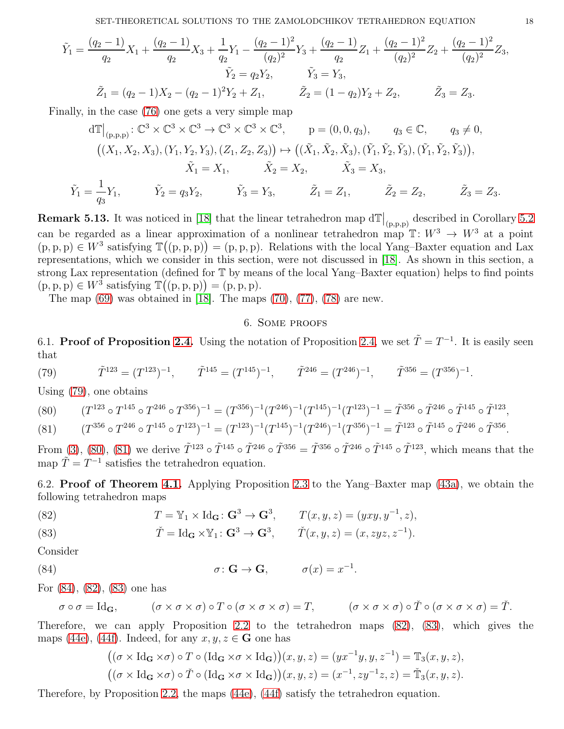SET-THEORETICAL SOLUTIONS TO THE ZAMOLODCHIKOV TETRAHEDRON EQUATION 18

$$
\tilde{Y}_1 = \frac{(q_2 - 1)}{q_2} X_1 + \frac{(q_2 - 1)}{q_2} X_3 + \frac{1}{q_2} Y_1 - \frac{(q_2 - 1)^2}{(q_2)^2} Y_3 + \frac{(q_2 - 1)}{q_2} Z_1 + \frac{(q_2 - 1)^2}{(q_2)^2} Z_2 + \frac{(q_2 - 1)^2}{(q_2)^2} Z_3,
$$
\n
$$
\tilde{Y}_2 = q_2 Y_2, \qquad \tilde{Y}_3 = Y_3,
$$
\n
$$
\tilde{Z}_1 = (q_2 - 1) X_2 - (q_2 - 1)^2 Y_2 + Z_1, \qquad \tilde{Z}_2 = (1 - q_2) Y_2 + Z_2, \qquad \tilde{Z}_3 = Z_3.
$$

Finally, in the case [\(76\)](#page-16-6) one gets a very simple map

$$
d\mathbb{T}\Big|_{(p,p,p)} : \mathbb{C}^3 \times \mathbb{C}^3 \times \mathbb{C}^3 \to \mathbb{C}^3 \times \mathbb{C}^3 \times \mathbb{C}^3, \qquad p = (0, 0, q_3), \qquad q_3 \in \mathbb{C}, \qquad q_3 \neq 0,
$$
  

$$
((X_1, X_2, X_3), (Y_1, Y_2, Y_3), (Z_1, Z_2, Z_3)) \mapsto ((\tilde{X}_1, \tilde{X}_2, \tilde{X}_3), (\tilde{Y}_1, \tilde{Y}_2, \tilde{Y}_3), (\tilde{Y}_1, \tilde{Y}_2, \tilde{Y}_3)),
$$
  

$$
\tilde{X}_1 = X_1, \qquad \tilde{X}_2 = X_2, \qquad \tilde{X}_3 = X_3,
$$
  

$$
\tilde{Y}_1 = \frac{1}{q_3} Y_1, \qquad \tilde{Y}_2 = q_3 Y_2, \qquad \tilde{Y}_3 = Y_3, \qquad \tilde{Z}_1 = Z_1, \qquad \tilde{Z}_2 = Z_2, \qquad \tilde{Z}_3 = Z_3.
$$

<span id="page-17-0"></span>**Remark 5.13.** It was noticed in [\[18\]](#page-19-25) that the linear tetrahedron map  $d\mathbb{T}|_{(p,p,p)}$  described in Corollary [5.2](#page-11-1) can be regarded as a linear approximation of a nonlinear tetrahedron map  $\mathbb{T}: W^3 \to W^3$  at a point  $(p, p, p) \in W^3$  satisfying  $\mathbb{T}((p, p, p)) = (p, p, p)$ . Relations with the local Yang–Baxter equation and Lax representations, which we consider in this section, were not discussed in [\[18\]](#page-19-25). As shown in this section, a strong Lax representation (defined for T by means of the local Yang–Baxter equation) helps to find points  $(p, p, p) \in W^3$  satisfying  $\mathbb{T}((p, p, p)) = (p, p, p).$ 

<span id="page-17-1"></span>The map  $(69)$  was obtained in [\[18\]](#page-19-25). The maps  $(70)$ ,  $(77)$ ,  $(78)$  are new.

### 6. Some proofs

<span id="page-17-2"></span>6.1. Proof of Proposition [2.4.](#page-3-4) Using the notation of Proposition [2.4,](#page-3-4) we set  $\tilde{T} = T^{-1}$ . It is easily seen that

<span id="page-17-5"></span>(79) 
$$
\tilde{T}^{123} = (T^{123})^{-1}, \qquad \tilde{T}^{145} = (T^{145})^{-1}, \qquad \tilde{T}^{246} = (T^{246})^{-1}, \qquad \tilde{T}^{356} = (T^{356})^{-1}.
$$

Using [\(79\)](#page-17-5), one obtains

<span id="page-17-6"></span>
$$
(80) \qquad (T^{123} \circ T^{145} \circ T^{246} \circ T^{356})^{-1} = (T^{356})^{-1} (T^{246})^{-1} (T^{145})^{-1} (T^{123})^{-1} = \tilde{T}^{356} \circ \tilde{T}^{246} \circ \tilde{T}^{145} \circ \tilde{T}^{123},
$$

<span id="page-17-7"></span>(81) 
$$
(T^{356} \circ T^{246} \circ T^{145} \circ T^{123})^{-1} = (T^{123})^{-1} (T^{145})^{-1} (T^{246})^{-1} (T^{356})^{-1} = \tilde{T}^{123} \circ \tilde{T}^{145} \circ \tilde{T}^{246} \circ \tilde{T}^{356}.
$$

From [\(3\)](#page-2-2), [\(80\)](#page-17-6), [\(81\)](#page-17-7) we derive  $\tilde{T}^{123} \circ \tilde{T}^{145} \circ \tilde{T}^{246} \circ \tilde{T}^{356} = \tilde{T}^{356} \circ \tilde{T}^{246} \circ \tilde{T}^{145} \circ \tilde{T}^{123}$ , which means that the map  $\tilde{T} = T^{-1}$  satisfies the tetrahedron equation.

<span id="page-17-3"></span>6.2. Proof of Theorem [4.1.](#page-10-2) Applying Proposition [2.3](#page-3-5) to the Yang–Baxter map [\(43a\)](#page-9-7), we obtain the following tetrahedron maps

<span id="page-17-8"></span>(82) 
$$
T = \mathbb{Y}_1 \times \mathrm{Id}_{\mathbf{G}} : \mathbf{G}^3 \to \mathbf{G}^3, \qquad T(x, y, z) = (yxy, y^{-1}, z),
$$

<span id="page-17-9"></span>(83) 
$$
\check{T} = \mathrm{Id}_{\mathbf{G}} \times \mathbb{Y}_1 : \mathbf{G}^3 \to \mathbf{G}^3, \qquad \check{T}(x, y, z) = (x, zyz, z^{-1}).
$$

Consider

<span id="page-17-4"></span>(84) 
$$
\sigma: \mathbf{G} \to \mathbf{G}, \qquad \sigma(x) = x^{-1}.
$$

For [\(84\)](#page-17-4), [\(82\)](#page-17-8), [\(83\)](#page-17-9) one has

$$
\sigma \circ \sigma = \text{Id}_{\mathbf{G}}, \qquad (\sigma \times \sigma \times \sigma) \circ T \circ (\sigma \times \sigma \times \sigma) = T, \qquad (\sigma \times \sigma \times \sigma) \circ \check{T} \circ (\sigma \times \sigma \times \sigma) = \check{T}.
$$

Therefore, we can apply Proposition [2.2](#page-2-5) to the tetrahedron maps [\(82\)](#page-17-8), [\(83\)](#page-17-9), which gives the maps [\(44e\)](#page-10-3), [\(44f\)](#page-10-4). Indeed, for any  $x, y, z \in G$  one has

$$
((\sigma \times \mathrm{Id}_{\mathbf{G}} \times \sigma) \circ T \circ (\mathrm{Id}_{\mathbf{G}} \times \sigma \times \mathrm{Id}_{\mathbf{G}}))(x, y, z) = (yx^{-1}y, y, z^{-1}) = \mathbb{T}_{3}(x, y, z),
$$

$$
((\sigma \times \mathrm{Id}_{\mathbf{G}} \times \sigma) \circ \check{T} \circ (\mathrm{Id}_{\mathbf{G}} \times \sigma \times \mathrm{Id}_{\mathbf{G}}))(x, y, z) = (x^{-1}, zy^{-1}z, z) = \check{\mathbb{T}}_{3}(x, y, z).
$$

Therefore, by Proposition [2.2,](#page-2-5) the maps [\(44e\)](#page-10-3), [\(44f\)](#page-10-4) satisfy the tetrahedron equation.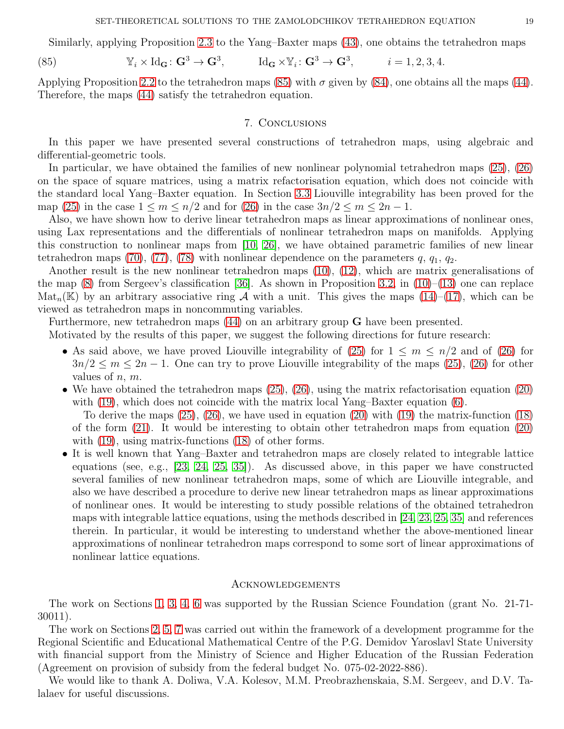Similarly, applying Proposition [2.3](#page-3-5) to the Yang–Baxter maps [\(43\)](#page-9-6), one obtains the tetrahedron maps

<span id="page-18-1"></span>(85)  $\mathbb{Y}_i \times \mathrm{Id}_{\mathbf{G}} : \mathbf{G}^3 \to \mathbf{G}^3, \qquad \mathrm{Id}_{\mathbf{G}} \times \mathbb{Y}_i : \mathbf{G}^3 \to \mathbf{G}^3, \qquad i = 1, 2, 3, 4.$ 

<span id="page-18-0"></span>Applying Proposition [2.2](#page-2-5) to the tetrahedron maps [\(85\)](#page-18-1) with  $\sigma$  given by [\(84\)](#page-17-4), one obtains all the maps [\(44\)](#page-10-1). Therefore, the maps [\(44\)](#page-10-1) satisfy the tetrahedron equation.

## 7. Conclusions

In this paper we have presented several constructions of tetrahedron maps, using algebraic and differential-geometric tools.

In particular, we have obtained the families of new nonlinear polynomial tetrahedron maps [\(25\)](#page-6-0), [\(26\)](#page-6-1) on the space of square matrices, using a matrix refactorisation equation, which does not coincide with the standard local Yang–Baxter equation. In Section [3.3](#page-6-2) Liouville integrability has been proved for the map [\(25\)](#page-6-0) in the case  $1 \leq m \leq n/2$  and for [\(26\)](#page-6-1) in the case  $3n/2 \leq m \leq 2n-1$ .

Also, we have shown how to derive linear tetrahedron maps as linear approximations of nonlinear ones, using Lax representations and the differentials of nonlinear tetrahedron maps on manifolds. Applying this construction to nonlinear maps from [\[10,](#page-19-0) [26\]](#page-19-1), we have obtained parametric families of new linear tetrahedron maps [\(70\)](#page-15-1), [\(77\)](#page-16-0), [\(78\)](#page-16-1) with nonlinear dependence on the parameters  $q, q_1, q_2$ .

Another result is the new nonlinear tetrahedron maps [\(10\)](#page-4-0), [\(12\)](#page-4-1), which are matrix generalisations of the map  $(8)$  from Sergeev's classification [\[36\]](#page-20-0). As shown in Proposition [3.2,](#page-4-2) in  $(10)–(13)$  $(10)–(13)$  one can replace  $\text{Mat}_n(\mathbb{K})$  by an arbitrary associative ring A with a unit. This gives the maps  $(14)-(17)$  $(14)-(17)$ , which can be viewed as tetrahedron maps in noncommuting variables.

Furthermore, new tetrahedron maps  $(44)$  on an arbitrary group G have been presented.

Motivated by the results of this paper, we suggest the following directions for future research:

- As said above, we have proved Liouville integrability of [\(25\)](#page-6-0) for  $1 \leq m \leq n/2$  and of [\(26\)](#page-6-1) for  $3n/2 \leq m \leq 2n-1$ . One can try to prove Liouville integrability of the maps [\(25\)](#page-6-0), [\(26\)](#page-6-1) for other values of  $n, m$ .
- We have obtained the tetrahedron maps  $(25)$ ,  $(26)$ , using the matrix refactorisation equation  $(20)$ with [\(19\)](#page-5-2), which does not coincide with the matrix local Yang–Baxter equation [\(6\)](#page-3-2).

To derive the maps [\(25\)](#page-6-0), [\(26\)](#page-6-1), we have used in equation [\(20\)](#page-5-1) with [\(19\)](#page-5-2) the matrix-function [\(18\)](#page-5-3) of the form [\(21\)](#page-5-4). It would be interesting to obtain other tetrahedron maps from equation [\(20\)](#page-5-1) with  $(19)$ , using matrix-functions  $(18)$  of other forms.

• It is well known that Yang–Baxter and tetrahedron maps are closely related to integrable lattice equations (see, e.g., [\[23,](#page-19-24) [24,](#page-19-27) [25,](#page-19-11) [35\]](#page-20-10)). As discussed above, in this paper we have constructed several families of new nonlinear tetrahedron maps, some of which are Liouville integrable, and also we have described a procedure to derive new linear tetrahedron maps as linear approximations of nonlinear ones. It would be interesting to study possible relations of the obtained tetrahedron maps with integrable lattice equations, using the methods described in [\[24,](#page-19-27) [23,](#page-19-24) [25,](#page-19-11) [35\]](#page-20-10) and references therein. In particular, it would be interesting to understand whether the above-mentioned linear approximations of nonlinear tetrahedron maps correspond to some sort of linear approximations of nonlinear lattice equations.

### **ACKNOWLEDGEMENTS**

The work on Sections [1,](#page-0-0) [3,](#page-3-7) [4,](#page-9-2) [6](#page-17-1) was supported by the Russian Science Foundation (grant No. 21-71- 30011).

The work on Sections [2,](#page-2-0) [5,](#page-10-0) [7](#page-18-0) was carried out within the framework of a development programme for the Regional Scientific and Educational Mathematical Centre of the P.G. Demidov Yaroslavl State University with financial support from the Ministry of Science and Higher Education of the Russian Federation (Agreement on provision of subsidy from the federal budget No. 075-02-2022-886).

We would like to thank A. Doliwa, V.A. Kolesov, M.M. Preobrazhenskaia, S.M. Sergeev, and D.V. Talalaev for useful discussions.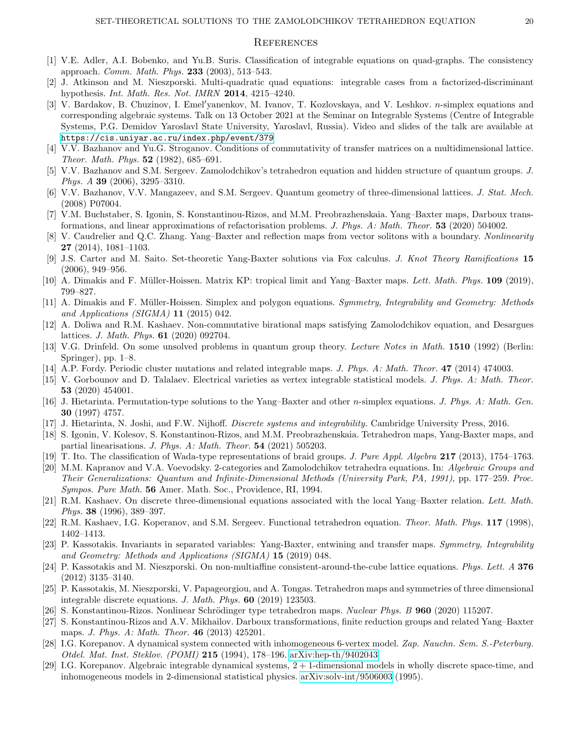#### **REFERENCES**

- <span id="page-19-16"></span><span id="page-19-15"></span>[1] V.E. Adler, A.I. Bobenko, and Yu.B. Suris. Classification of integrable equations on quad-graphs. The consistency approach. *Comm. Math. Phys.* 233 (2003), 513–543.
- <span id="page-19-17"></span>[2] J. Atkinson and M. Nieszporski. Multi-quadratic quad equations: integrable cases from a factorized-discriminant hypothesis. *Int. Math. Res. Not. IMRN* 2014, 4215–4240.
- [3] V. Bardakov, B. Chuzinov, I. Emel′yanenkov, M. Ivanov, T. Kozlovskaya, and V. Leshkov. n-simplex equations and corresponding algebraic systems. Talk on 13 October 2021 at the Seminar on Integrable Systems (Centre of Integrable Systems, P.G. Demidov Yaroslavl State University, Yaroslavl, Russia). Video and slides of the talk are available at <https://cis.uniyar.ac.ru/index.php/event/379>
- <span id="page-19-5"></span><span id="page-19-2"></span>[4] V.V. Bazhanov and Yu.G. Stroganov. Conditions of commutativity of transfer matrices on a multidimensional lattice. *Theor. Math. Phys.* 52 (1982), 685–691.
- <span id="page-19-6"></span>[5] V.V. Bazhanov and S.M. Sergeev. Zamolodchikov's tetrahedron equation and hidden structure of quantum groups. *J. Phys. A* 39 (2006), 3295–3310.
- <span id="page-19-26"></span>[6] V.V. Bazhanov, V.V. Mangazeev, and S.M. Sergeev. Quantum geometry of three-dimensional lattices. *J. Stat. Mech.* (2008) P07004.
- [7] V.M. Buchstaber, S. Igonin, S. Konstantinou-Rizos, and M.M. Preobrazhenskaia. Yang–Baxter maps, Darboux transformations, and linear approximations of refactorisation problems. *J. Phys. A: Math. Theor.* 53 (2020) 504002.
- <span id="page-19-18"></span>[8] V. Caudrelier and Q.C. Zhang. Yang–Baxter and reflection maps from vector solitons with a boundary. *Nonlinearity* 27 (2014), 1081–1103.
- <span id="page-19-19"></span>[9] J.S. Carter and M. Saito. Set-theoretic Yang-Baxter solutions via Fox calculus. *J. Knot Theory Ramifications* 15 (2006), 949–956.
- <span id="page-19-3"></span><span id="page-19-0"></span>[10] A. Dimakis and F. Müller-Hoissen. Matrix KP: tropical limit and Yang–Baxter maps. *Lett. Math. Phys.* 109 (2019), 799–827.
- <span id="page-19-7"></span>[11] A. Dimakis and F. Müller-Hoissen. Simplex and polygon equations. *Symmetry, Integrability and Geometry: Methods and Applications (SIGMA)* 11 (2015) 042.
- <span id="page-19-12"></span>[12] A. Doliwa and R.M. Kashaev. Non-commutative birational maps satisfying Zamolodchikov equation, and Desargues lattices. *J. Math. Phys.* 61 (2020) 092704.
- [13] V.G. Drinfeld. On some unsolved problems in quantum group theory. *Lecture Notes in Math.* 1510 (1992) (Berlin: Springer), pp.  $1-8$ .
- <span id="page-19-22"></span><span id="page-19-8"></span>[14] A.P. Fordy. Periodic cluster mutations and related integrable maps. *J. Phys. A: Math. Theor.* 47 (2014) 474003.
- [15] V. Gorbounov and D. Talalaev. Electrical varieties as vertex integrable statistical models. *J. Phys. A: Math. Theor.* 53 (2020) 454001.
- <span id="page-19-4"></span>[16] J. Hietarinta. Permutation-type solutions to the Yang–Baxter and other n-simplex equations. *J. Phys. A: Math. Gen.* 30 (1997) 4757.
- <span id="page-19-25"></span><span id="page-19-23"></span>[17] J. Hietarinta, N. Joshi, and F.W. Nijhoff. *Discrete systems and integrability.* Cambridge University Press, 2016.
- [18] S. Igonin, V. Kolesov, S. Konstantinou-Rizos, and M.M. Preobrazhenskaia. Tetrahedron maps, Yang-Baxter maps, and partial linearisations. *J. Phys. A: Math. Theor.* 54 (2021) 505203.
- <span id="page-19-20"></span><span id="page-19-9"></span>[19] T. Ito. The classification of Wada-type representations of braid groups. *J. Pure Appl. Algebra* 217 (2013), 1754–1763.
- [20] M.M. Kapranov and V.A. Voevodsky. 2-categories and Zamolodchikov tetrahedra equations. In: *Algebraic Groups and Their Generalizations: Quantum and Infinite-Dimensional Methods (University Park, PA, 1991)*, pp. 177–259. *Proc. Sympos. Pure Math.* 56 Amer. Math. Soc., Providence, RI, 1994.
- [21] R.M. Kashaev. On discrete three-dimensional equations associated with the local Yang–Baxter relation. *Lett. Math. Phys.* 38 (1996), 389–397.
- <span id="page-19-24"></span><span id="page-19-10"></span>[22] R.M. Kashaev, I.G. Koperanov, and S.M. Sergeev. Functional tetrahedron equation. *Theor. Math. Phys.* 117 (1998), 1402–1413.
- [23] P. Kassotakis. Invariants in separated variables: Yang-Baxter, entwining and transfer maps. *Symmetry, Integrability and Geometry: Methods and Applications (SIGMA)* 15 (2019) 048.
- <span id="page-19-27"></span>[24] P. Kassotakis and M. Nieszporski. On non-multiaffine consistent-around-the-cube lattice equations. *Phys. Lett. A* 376 (2012) 3135–3140.
- <span id="page-19-11"></span>[25] P. Kassotakis, M. Nieszporski, V. Papageorgiou, and A. Tongas. Tetrahedron maps and symmetries of three dimensional integrable discrete equations. *J. Math. Phys.* 60 (2019) 123503.
- <span id="page-19-21"></span><span id="page-19-1"></span>[26] S. Konstantinou-Rizos. Nonlinear Schrödinger type tetrahedron maps. *Nuclear Phys. B* **960** (2020) 115207.
- [27] S. Konstantinou-Rizos and A.V. Mikhailov. Darboux transformations, finite reduction groups and related Yang–Baxter maps. *J. Phys. A: Math. Theor.* 46 (2013) 425201.
- <span id="page-19-13"></span>[28] I.G. Korepanov. A dynamical system connected with inhomogeneous 6-vertex model. *Zap. Nauchn. Sem. S.-Peterburg. Otdel. Mat. Inst. Steklov. (POMI)* 215 (1994), 178–196. [arXiv:hep-th/9402043](http://arxiv.org/abs/hep-th/9402043)
- <span id="page-19-14"></span>[29] I.G. Korepanov. Algebraic integrable dynamical systems, 2 + 1-dimensional models in wholly discrete space-time, and inhomogeneous models in 2-dimensional statistical physics. [arXiv:solv-int/9506003](http://arxiv.org/abs/solv-int/9506003) (1995).